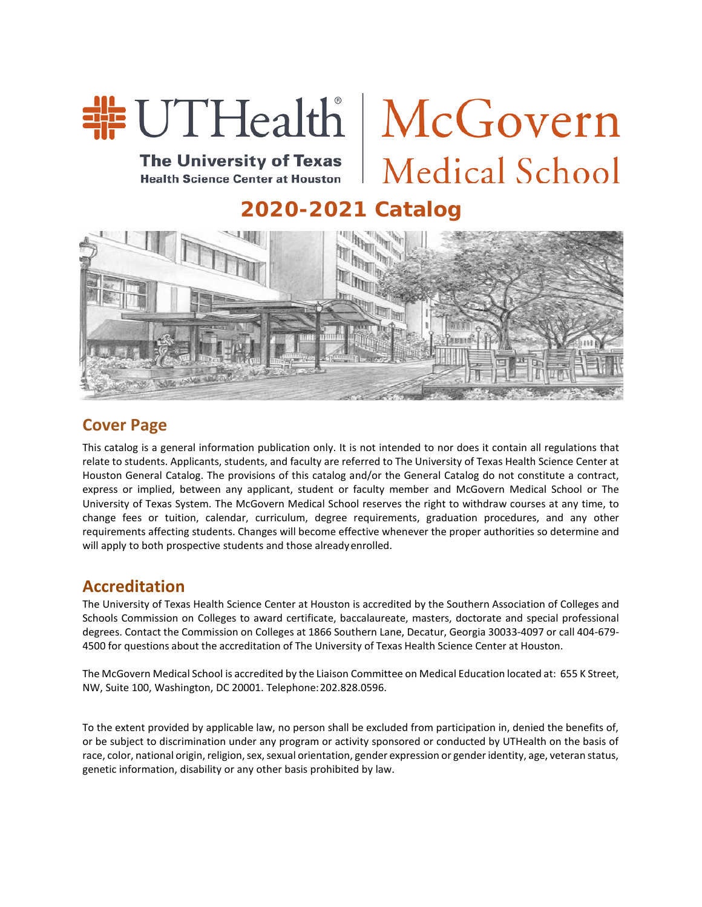

**The University of Texas Health Science Center at Houston** 

# Medical School

# **2020-2021 Catalog**



## **Cover Page**

This catalog is a general information publication only. It is not intended to nor does it contain all regulations that relate to students. Applicants, students, and faculty are referred to The University of Texas Health Science Center at Houston General Catalog. The provisions of this catalog and/or the General Catalog do not constitute a contract, express or implied, between any applicant, student or faculty member and McGovern Medical School or The University of Texas System. The McGovern Medical School reserves the right to withdraw courses at any time, to change fees or tuition, calendar, curriculum, degree requirements, graduation procedures, and any other requirements affecting students. Changes will become effective whenever the proper authorities so determine and will apply to both prospective students and those alreadyenrolled.

## **Accreditation**

The University of Texas Health Science Center at Houston is accredited by the Southern Association of Colleges and Schools Commission on Colleges to award certificate, baccalaureate, masters, doctorate and special professional degrees. Contact the Commission on Colleges at 1866 Southern Lane, Decatur, Georgia 30033-4097 or call 404-679- 4500 for questions about the accreditation of The University of Texas Health Science Center at Houston.

The McGovern Medical School is accredited by the Liaison Committee on Medical Education located at: 655 K Street, NW, Suite 100, Washington, DC 20001. Telephone:202.828.0596.

To the extent provided by applicable law, no person shall be excluded from participation in, denied the benefits of, or be subject to discrimination under any program or activity sponsored or conducted by UTHealth on the basis of race, color, national origin, religion, sex, sexual orientation, gender expression or gender identity, age, veteran status, genetic information, disability or any other basis prohibited by law.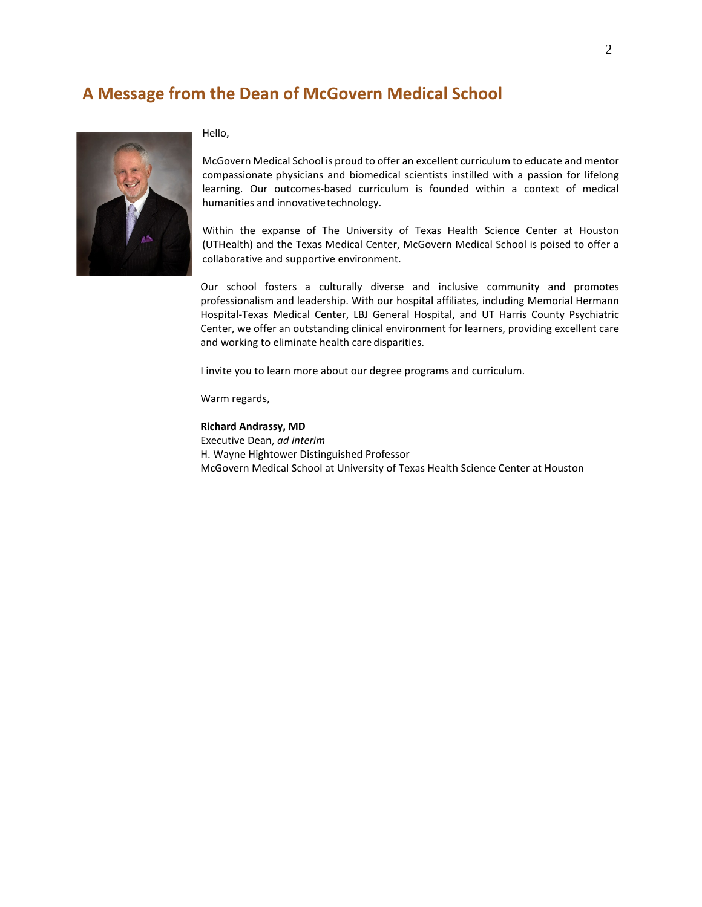## **A Message from the Dean of McGovern Medical School**



Hello,

McGovern Medical School is proud to offer an excellent curriculum to educate and mentor compassionate physicians and biomedical scientists instilled with a passion for lifelong learning. Our outcomes-based curriculum is founded within a context of medical humanities and innovativetechnology.

Within the expanse of The University of Texas Health Science Center at Houston (UTHealth) and the Texas Medical Center, McGovern Medical School is poised to offer a collaborative and supportive environment.

Our school fosters a culturally diverse and inclusive community and promotes professionalism and leadership. With our hospital affiliates, including Memorial Hermann Hospital-Texas Medical Center, LBJ General Hospital, and UT Harris County Psychiatric Center, we offer an outstanding clinical environment for learners, providing excellent care and working to eliminate health care disparities.

I invite you to learn more about our degree programs and curriculum.

Warm regards,

**Richard Andrassy, MD** Executive Dean, *ad interim* H. Wayne Hightower Distinguished Professor McGovern Medical School at University of Texas Health Science Center at Houston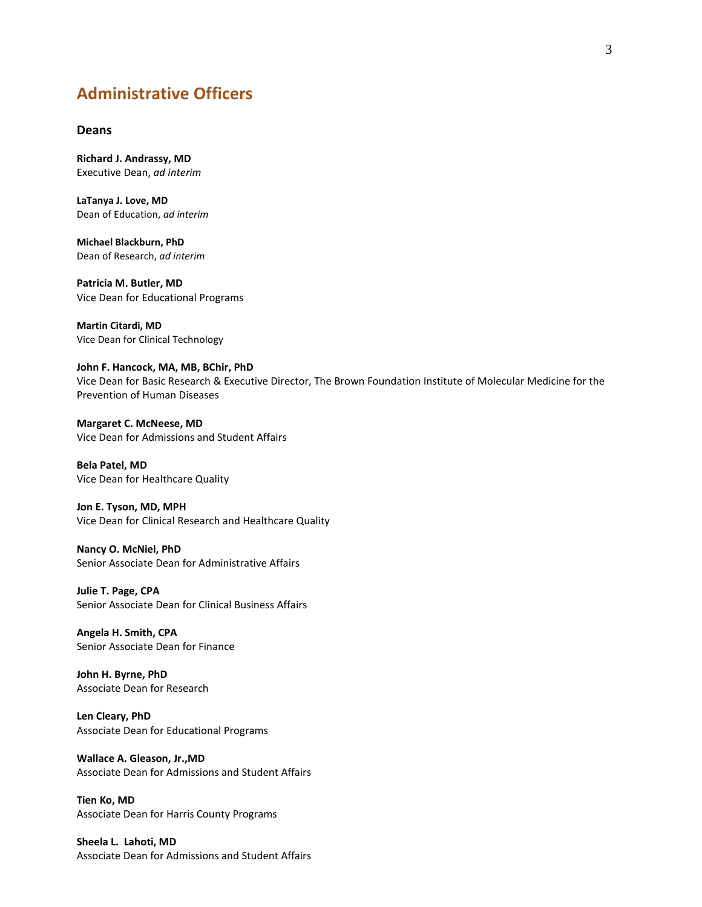## **Administrative Officers**

## **Deans**

**Richard J. Andrassy, MD** Executive Dean, *ad interim*

**LaTanya J. Love, MD** Dean of Education, *ad interim*

**Michael Blackburn, PhD** Dean of Research, *ad interim*

**Patricia M. Butler, MD** Vice Dean for Educational Programs

**Martin Citardi, MD** Vice Dean for Clinical Technology

**John F. Hancock, MA, MB, BChir, PhD** Vice Dean for Basic Research & Executive Director, The Brown Foundation Institute of Molecular Medicine for the Prevention of Human Diseases

**Margaret C. McNeese, MD** Vice Dean for Admissions and Student Affairs

**Bela Patel, MD** Vice Dean for Healthcare Quality

**Jon E. Tyson, MD, MPH** Vice Dean for Clinical Research and Healthcare Quality

**Nancy O. McNiel, PhD** Senior Associate Dean for Administrative Affairs

**Julie T. Page, CPA** Senior Associate Dean for Clinical Business Affairs

**Angela H. Smith, CPA** Senior Associate Dean for Finance

**John H. Byrne, PhD** Associate Dean for Research

**Len Cleary, PhD** Associate Dean for Educational Programs

**Wallace A. Gleason, Jr.,MD** Associate Dean for Admissions and Student Affairs

**Tien Ko, MD** Associate Dean for Harris County Programs

**Sheela L. Lahoti, MD** Associate Dean for Admissions and Student Affairs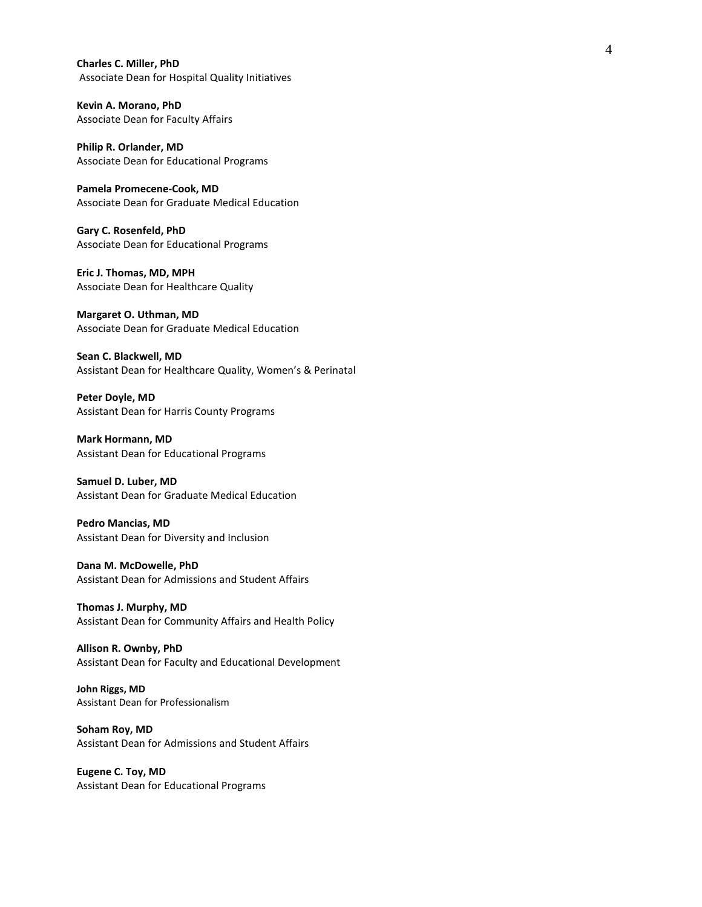**Charles C. Miller, PhD** Associate Dean for Hospital Quality Initiatives

**Kevin A. Morano, PhD** Associate Dean for Faculty Affairs

**Philip R. Orlander, MD** Associate Dean for Educational Programs

**Pamela Promecene-Cook, MD** Associate Dean for Graduate Medical Education

**Gary C. Rosenfeld, PhD** Associate Dean for Educational Programs

**Eric J. Thomas, MD, MPH** Associate Dean for Healthcare Quality

**Margaret O. Uthman, MD** Associate Dean for Graduate Medical Education

**Sean C. Blackwell, MD** Assistant Dean for Healthcare Quality, Women's & Perinatal

**Peter Doyle, MD** Assistant Dean for Harris County Programs

**Mark Hormann, MD** Assistant Dean for Educational Programs

**Samuel D. Luber, MD** Assistant Dean for Graduate Medical Education

**Pedro Mancias, MD** Assistant Dean for Diversity and Inclusion

**Dana M. McDowelle, PhD** Assistant Dean for Admissions and Student Affairs

**Thomas J. Murphy, MD** Assistant Dean for Community Affairs and Health Policy

**Allison R. Ownby, PhD** Assistant Dean for Faculty and Educational Development

**John Riggs, MD** Assistant Dean for Professionalism

**Soham Roy, MD** Assistant Dean for Admissions and Student Affairs

**Eugene C. Toy, MD** Assistant Dean for Educational Programs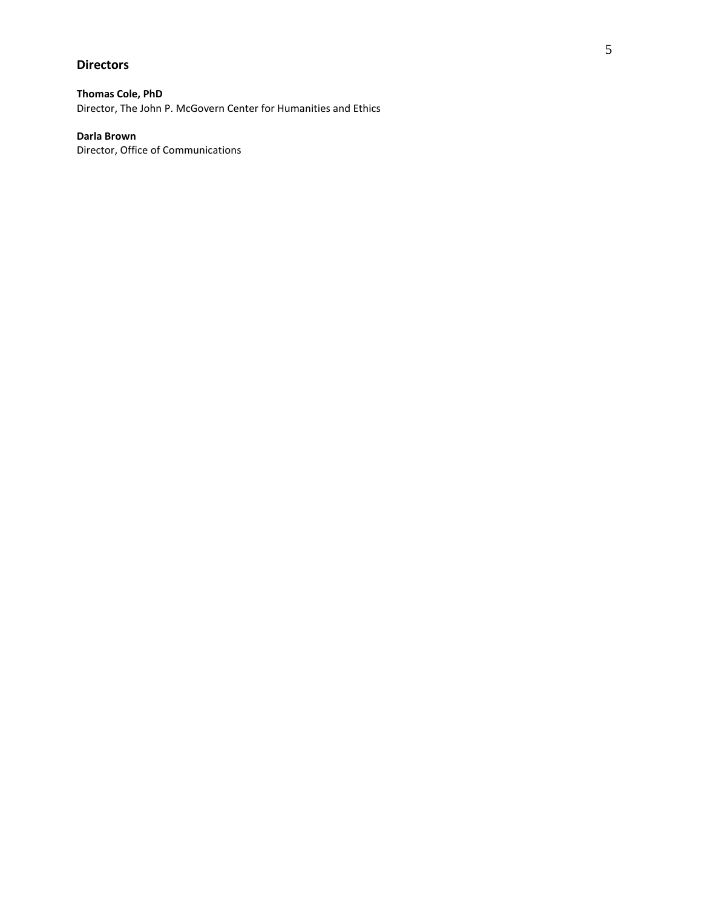## **Directors**

**Thomas Cole, PhD**

Director, The John P. McGovern Center for Humanities and Ethics

## **Darla Brown**

Director, Office of Communications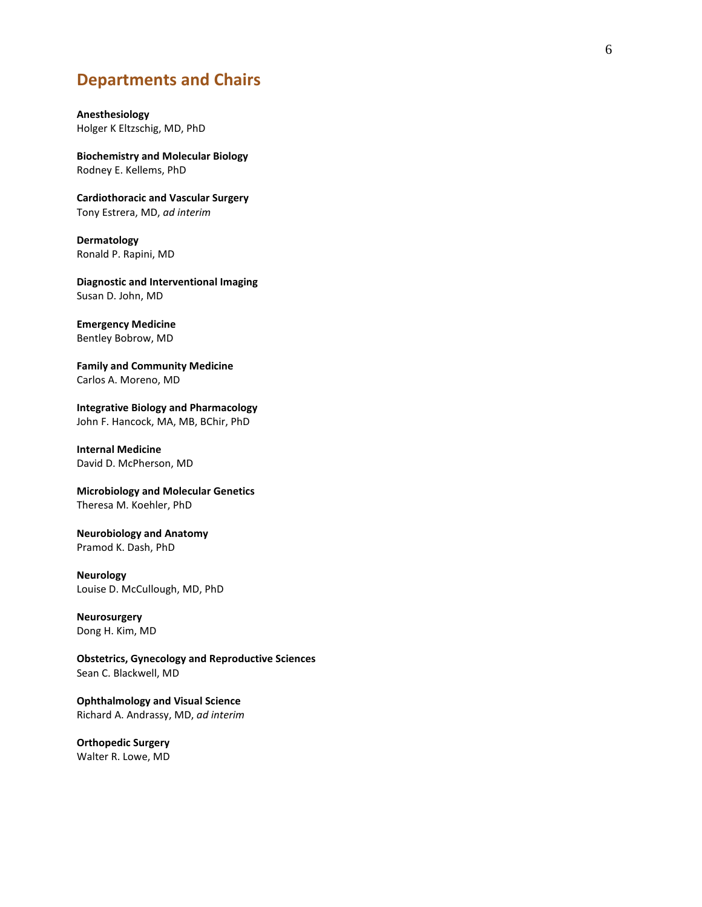## **Departments and Chairs**

## **Anesthesiology** Holger K Eltzschi g, MD, PhD

**Biochemistry and Molecular Biology** Rodney E. Kellems, PhD

**Cardiothoracic and Vascular Surgery** Tony Estrera, MD, *ad interim*

**Dermatology** Ronald P. Rapini, MD

**Diagnostic and Interventional Imaging** Susan D. John, MD

## **Emergency Medicine**

Bentley Bobrow, MD

**Family and Community Medicine** Carlos A. Moreno, MD

**Integrative Biology and Pharmacology** John F. Hancock, MA, MB, BChir, PhD

**Internal Medicine** David D. McPherson, MD

**Microbiology and Molecular Genetics** Theresa M. Koehler, PhD

**Neurobiology and Anatomy** Pramod K. Dash, PhD

**Neurology** Louise D. McCullough, MD, PhD

**Neurosurgery** Dong H. Kim, MD

**Obstetrics, Gynecology and Reproductive Sciences** Sean C. Blackwell, MD

**Ophthalmology and Visual Science** Richard A. Andrassy, MD, *ad interim*

**Orthopedic Surgery** Walter R. Lowe, MD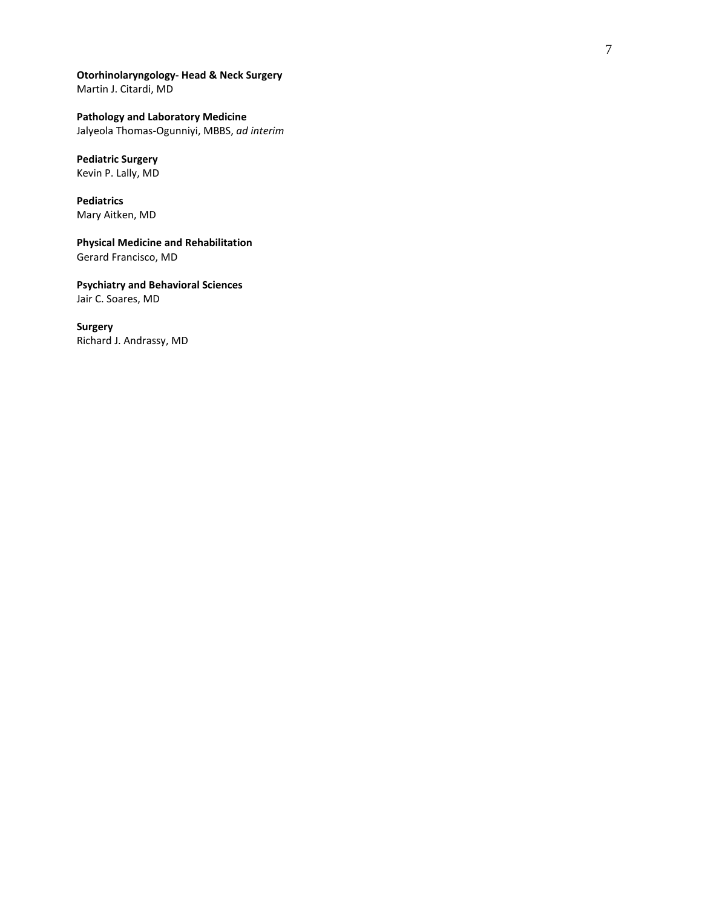**Otorhinolaryngology - Head & Neck Surgery** Martin J. Citardi, MD

**Pathology and Laboratory Medicine** Jalyeola Thomas -Ogunniyi, MBBS, *ad interim*

## **Pediatric Surgery**

Kevin P. Lally, MD

**Pediatrics** Mary Aitken, MD

**Physical Medicine and Rehabilitation** Gerard Francisco, MD

**Psychiatry and Behavioral Sciences** Jair C. Soares, MD

**Surgery** Richard J. Andrassy, MD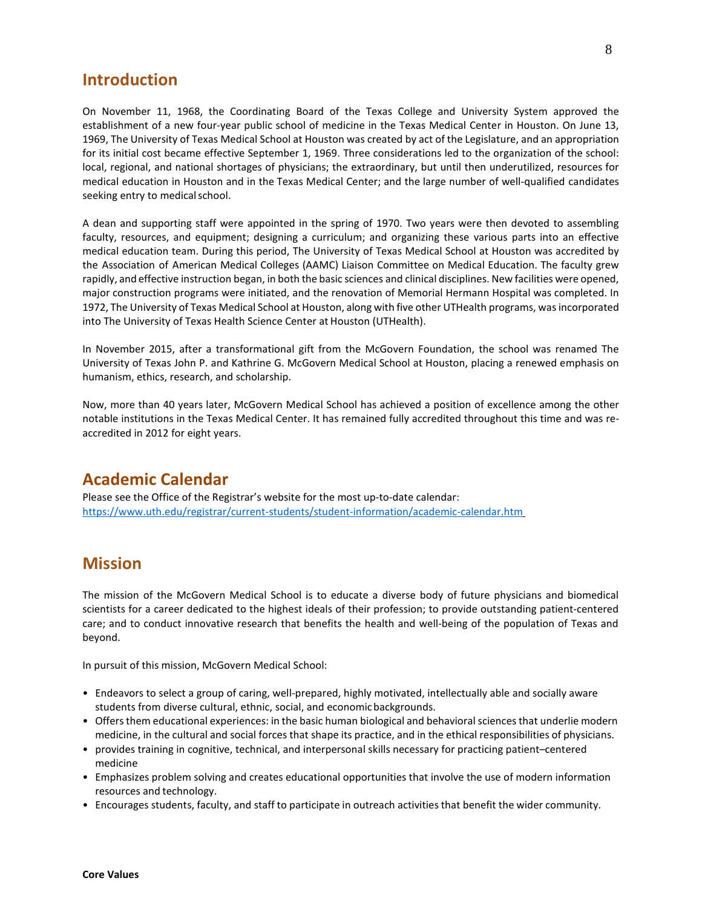## **Introduction**

On November 11, 1968, the Coordinating Board of the Texas College and University System approved the establishment of a new four-year public school of medicine in the Texas Medical Center in Houston. On June 13, 1969, The University of Texas Medical School at Houston was created by act of the Legislature, and an appropriation for its initial cost became effective September 1, 1969. Three considerations led to the organization of the school: local, regional, and national shortages of physicians; the extraordinary, but until then underutilized, resources for medical education in Houston and in the Texas Medical Center; and the large number of well-qualified candidates seeking entry to medical school.

A dean and supporting staff were appointed in the spring of 1970. Two years were then devoted to assembling faculty, resources, and equipment; designing a curriculum; and organizing these various parts into an effective medical education team. During this period, The University of Texas Medical School at Houston was accredited by the Association of American Medical Colleges (AAMC) Liaison Committee on Medical Education. The faculty grew rapidly, and effective instruction began, in both the basic sciences and clinical disciplines. New facilities were opened, major construction programs were initiated, and the renovation of Memorial Hermann Hospital was completed. In 1972, The University of Texas Medical School at Houston, along with five other UTHealth programs, was incorporated into The University of Texas Health Science Center at Houston (UTHealth).

In November 2015, after a transformational gift from the McGovern Foundation, the school was renamed The University of Texas John P. and Kathrine G. McGovern Medical School at Houston, placing a renewed emphasis on humanism, ethics, research, and scholarship.

Now, more than 40 years later, McGovern Medical School has achieved a position of excellence among the other notable institutions in the Texas Medical Center. It has remained fully accredited throughout this time and was reaccredited in 2012 for eight years.

## **Academic Calendar**

Please see the Office of the Registrar's website for the most up-to-date calendar: <https://www.uth.edu/registrar/current-students/student-information/academic-calendar.htm>

## **Mission**

The mission of the McGovern Medical School is to educate a diverse body of future physicians and biomedical scientists for a career dedicated to the highest ideals of their profession; to provide outstanding patient-centered care; and to conduct innovative research that benefits the health and well-being of the population of Texas and beyond.

In pursuit of this mission, McGovern Medical School:

- Endeavors to select a group of caring, well-prepared, highly motivated, intellectually able and socially aware students from diverse cultural, ethnic, social, and economicbackgrounds.
- Offers them educational experiences: in the basic human biological and behavioral sciences that underlie modern medicine, in the cultural and social forces that shape its practice, and in the ethical responsibilities of physicians.
- provides training in cognitive, technical, and interpersonal skills necessary for practicing patient–centered medicine
- Emphasizes problem solving and creates educational opportunities that involve the use of modern information resources and technology.
- Encourages students, faculty, and staff to participate in outreach activities that benefit the wider community.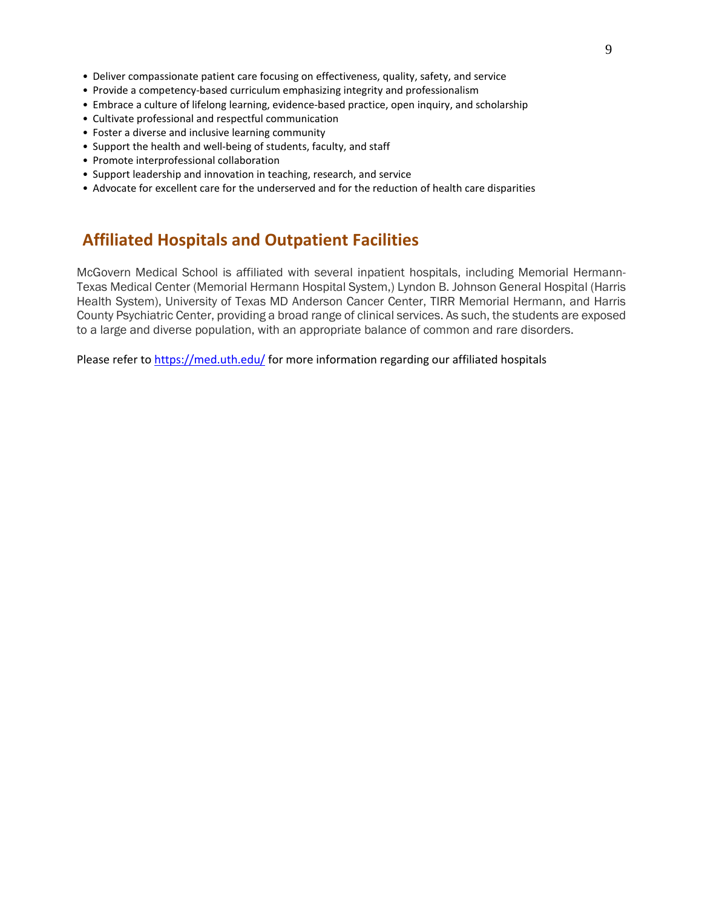- Deliver compassionate patient care focusing on effectiveness, quality, safety, and service
- Provide a competency-based curriculum emphasizing integrity and professionalism
- Embrace a culture of lifelong learning, evidence-based practice, open inquiry, and scholarship
- Cultivate professional and respectful communication
- Foster a diverse and inclusive learning community
- Support the health and well-being of students, faculty, and staff
- Promote interprofessional collaboration
- Support leadership and innovation in teaching, research, and service
- Advocate for excellent care for the underserved and for the reduction of health care disparities

## **Affiliated Hospitals and Outpatient Facilities**

McGovern Medical School is affiliated with several inpatient hospitals, including Memorial Hermann-Texas Medical Center (Memorial Hermann Hospital System,) Lyndon B. Johnson General Hospital (Harris Health System), University of Texas MD Anderson Cancer Center, TIRR Memorial Hermann, and Harris County Psychiatric Center, providing a broad range of clinical services. As such, the students are exposed to a large and diverse population, with an appropriate balance of common and rare disorders.

Please refer t[o https://med.uth.edu/](https://med.uth.edu/) for more information regarding our affiliated hospitals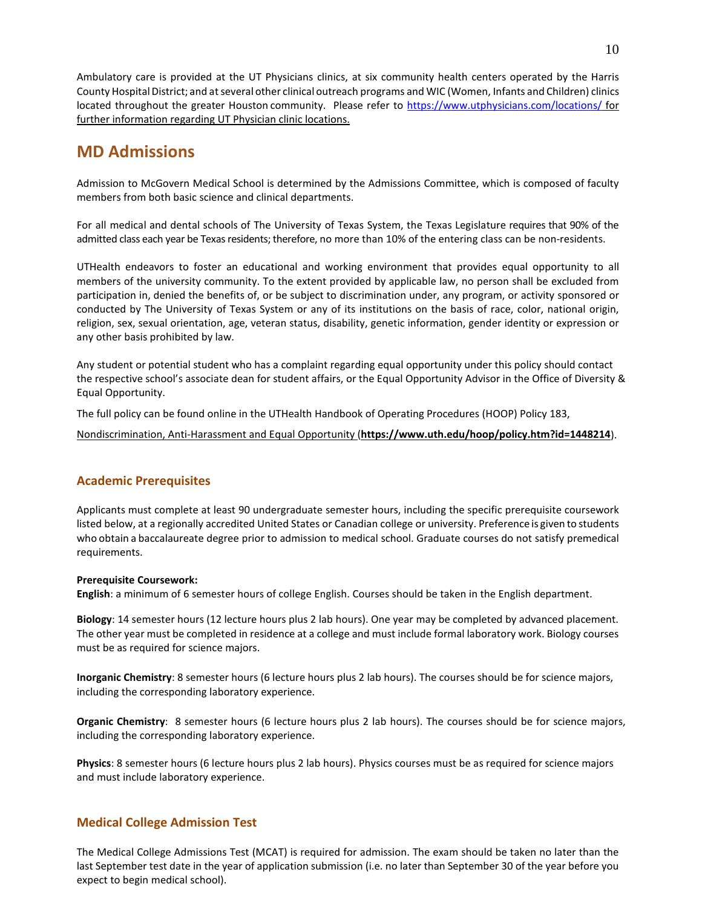Ambulatory care is provided at the UT Physicians clinics, at six community health centers operated by the Harris County Hospital District; and at several other clinical outreach programs and WIC (Women, Infants and Children) clinics located throughout the greater Houston community. Please refer to<https://www.utphysicians.com/locations/> for further information regarding UT Physician clinic locations.

## **MD Admissions**

Admission to McGovern Medical School is determined by the Admissions Committee, which is composed of faculty members from both basic science and clinical departments.

For all medical and dental schools of The University of Texas System, the Texas Legislature requires that 90% of the admitted class each year be Texas residents; therefore, no more than 10% of the entering class can be non-residents.

UTHealth endeavors to foster an educational and working environment that provides equal opportunity to all members of the university community. To the extent provided by applicable law, no person shall be excluded from participation in, denied the benefits of, or be subject to discrimination under, any program, or activity sponsored or conducted by The University of Texas System or any of its institutions on the basis of race, color, national origin, religion, sex, sexual orientation, age, veteran status, disability, genetic information, gender identity or expression or any other basis prohibited by law.

Any student or potential student who has a complaint regarding equal opportunity under this policy should contact the respective school's associate dean for student affairs, or the Equal Opportunity Advisor in the Office of Diversity & Equal Opportunity.

The full policy can be found online in the UTHealth Handbook of Operating Procedures (HOOP) Policy 183,

Nondiscrimination, Anti-Harassment and Equal Opportunity (**<https://www.uth.edu/hoop/policy.htm?id=1448214>**).

## **Academic Prerequisites**

Applicants must complete at least 90 undergraduate semester hours, including the specific prerequisite coursework listed below, at a regionally accredited United States or Canadian college or university. Preference is given to students who obtain a baccalaureate degree prior to admission to medical school. Graduate courses do not satisfy premedical requirements.

## **Prerequisite Coursework:**

**English**: a minimum of 6 semester hours of college English. Courses should be taken in the English department.

**Biology**: 14 semester hours (12 lecture hours plus 2 lab hours). One year may be completed by advanced placement. The other year must be completed in residence at a college and must include formal laboratory work. Biology courses must be as required for science majors.

**Inorganic Chemistry**: 8 semester hours (6 lecture hours plus 2 lab hours). The courses should be for science majors, including the corresponding laboratory experience.

**Organic Chemistry**: 8 semester hours (6 lecture hours plus 2 lab hours). The courses should be for science majors, including the corresponding laboratory experience.

**Physics**: 8 semester hours (6 lecture hours plus 2 lab hours). Physics courses must be as required for science majors and must include laboratory experience.

## **Medical College Admission Test**

The Medical College Admissions Test (MCAT) is required for admission. The exam should be taken no later than the last September test date in the year of application submission (i.e. no later than September 30 of the year before you expect to begin medical school).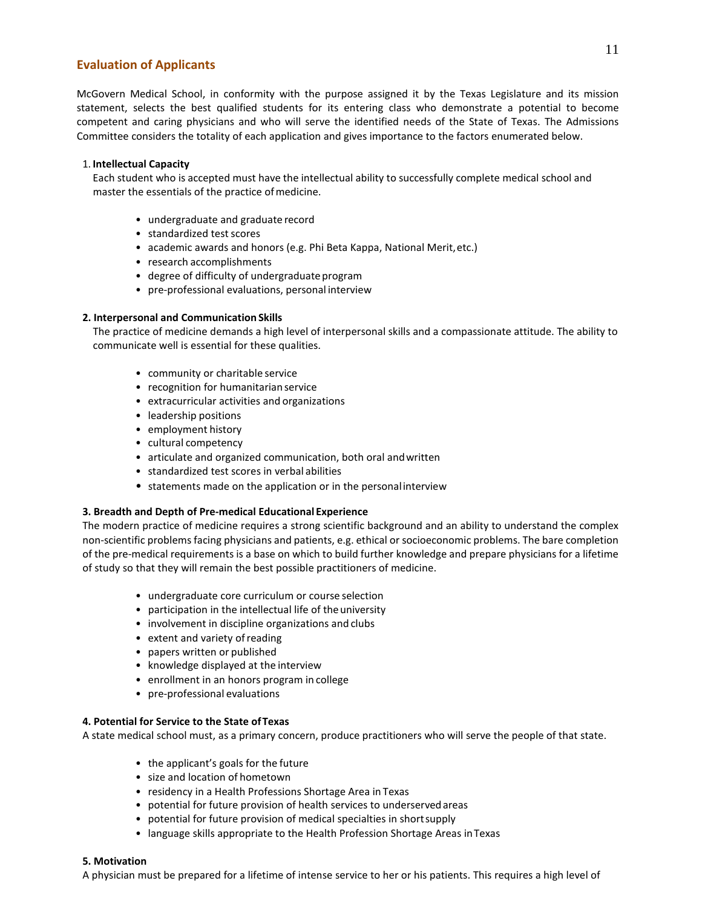## **Evaluation of Applicants**

McGovern Medical School, in conformity with the purpose assigned it by the Texas Legislature and its mission statement, selects the best qualified students for its entering class who demonstrate a potential to become competent and caring physicians and who will serve the identified needs of the State of Texas. The Admissions Committee considers the totality of each application and gives importance to the factors enumerated below.

## 1. **Intellectual Capacity**

Each student who is accepted must have the intellectual ability to successfully complete medical school and master the essentials of the practice of medicine.

- undergraduate and graduate record
- standardized test scores
- academic awards and honors (e.g. Phi Beta Kappa, National Merit,etc.)
- research accomplishments
- degree of difficulty of undergraduate program
- pre-professional evaluations, personal interview

## **2. Interpersonal and Communication Skills**

 The practice of medicine demands a high level of interpersonal skills and a compassionate attitude. The ability to communicate well is essential for these qualities.

- community or charitable service
- recognition for humanitarian service
- extracurricular activities and organizations
- leadership positions
- employment history
- cultural competency
- articulate and organized communication, both oral andwritten
- standardized test scores in verbal abilities
- statements made on the application or in the personalinterview

## **3. Breadth and Depth of Pre-medical Educational Experience**

The modern practice of medicine requires a strong scientific background and an ability to understand the complex non-scientific problems facing physicians and patients, e.g. ethical or socioeconomic problems. The bare completion of the pre-medical requirements is a base on which to build further knowledge and prepare physicians for a lifetime of study so that they will remain the best possible practitioners of medicine.

- undergraduate core curriculum or course selection
- participation in the intellectual life of theuniversity
- involvement in discipline organizations and clubs
- extent and variety of reading
- papers written or published
- knowledge displayed at the interview
- enrollment in an honors program in college
- pre-professional evaluations

## **4. Potential for Service to the State ofTexas**

A state medical school must, as a primary concern, produce practitioners who will serve the people of that state.

- the applicant's goals for the future
- size and location of hometown
- residency in a Health Professions Shortage Area in Texas
- potential for future provision of health services to underservedareas
- potential for future provision of medical specialties in shortsupply
- language skills appropriate to the Health Profession Shortage Areas inTexas

#### **5. Motivation**

A physician must be prepared for a lifetime of intense service to her or his patients. This requires a high level of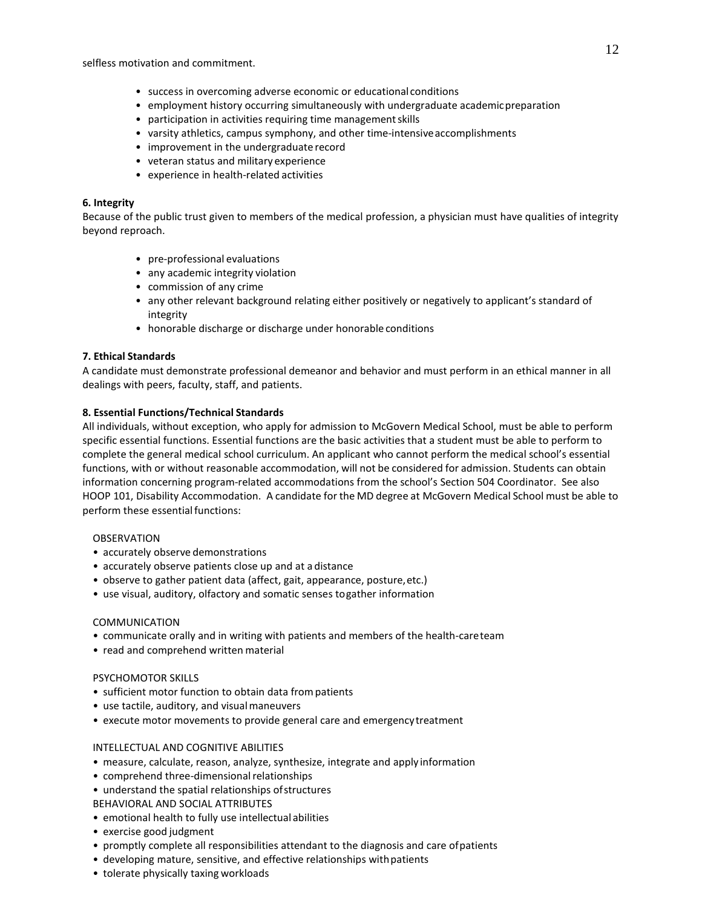selfless motivation and commitment.

- success in overcoming adverse economic or educational conditions
- employment history occurring simultaneously with undergraduate academicpreparation
- participation in activities requiring time management skills
- varsity athletics, campus symphony, and other time-intensiveaccomplishments
- improvement in the undergraduate record
- veteran status and military experience
- experience in health-related activities

## **6. Integrity**

Because of the public trust given to members of the medical profession, a physician must have qualities of integrity beyond reproach.

- pre-professional evaluations
- any academic integrity violation
- commission of any crime
- any other relevant background relating either positively or negatively to applicant's standard of integrity
- honorable discharge or discharge under honorable conditions

## **7. Ethical Standards**

A candidate must demonstrate professional demeanor and behavior and must perform in an ethical manner in all dealings with peers, faculty, staff, and patients.

## **8. Essential Functions/Technical Standards**

All individuals, without exception, who apply for admission to McGovern Medical School, must be able to perform specific essential functions. Essential functions are the basic activities that a student must be able to perform to complete the general medical school curriculum. An applicant who cannot perform the medical school's essential functions, with or without reasonable accommodation, will not be considered for admission. Students can obtain information concerning program-related accommodations from the school's Section 504 Coordinator. See also HOOP 101, Disability Accommodation. A candidate for the MD degree at McGovern Medical School must be able to perform these essential functions:

## OBSERVATION

- accurately observe demonstrations
- accurately observe patients close up and at a distance
- observe to gather patient data (affect, gait, appearance, posture,etc.)
- use visual, auditory, olfactory and somatic senses togather information

## COMMUNICATION

- communicate orally and in writing with patients and members of the health-careteam
- read and comprehend written material

## PSYCHOMOTOR SKILLS

- sufficient motor function to obtain data frompatients
- use tactile, auditory, and visualmaneuvers
- execute motor movements to provide general care and emergencytreatment

## INTELLECTUAL AND COGNITIVE ABILITIES

- measure, calculate, reason, analyze, synthesize, integrate and apply information
- comprehend three-dimensional relationships
- understand the spatial relationships ofstructures
- BEHAVIORAL AND SOCIAL ATTRIBUTES
- emotional health to fully use intellectual abilities
- exercise good judgment
- promptly complete all responsibilities attendant to the diagnosis and care ofpatients
- developing mature, sensitive, and effective relationships withpatients
- tolerate physically taxing workloads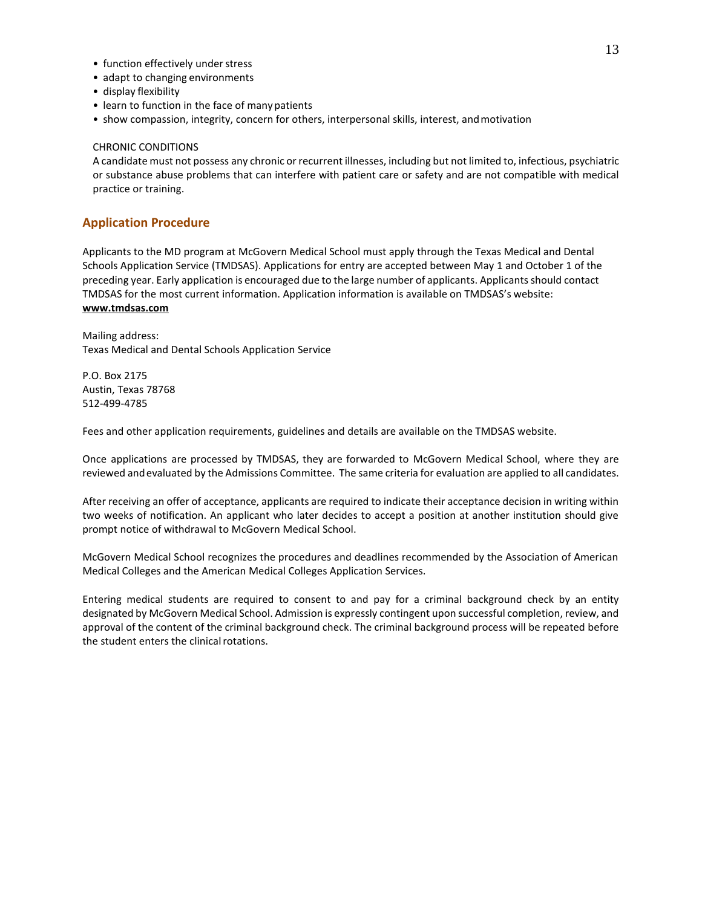- function effectively under stress
- adapt to changing environments
- display flexibility
- learn to function in the face of manypatients
- show compassion, integrity, concern for others, interpersonal skills, interest, andmotivation

## CHRONIC CONDITIONS

A candidate must not possess any chronic or recurrent illnesses, including but not limited to, infectious, psychiatric or substance abuse problems that can interfere with patient care or safety and are not compatible with medical practice or training.

## **Application Procedure**

Applicants to the MD program at McGovern Medical School must apply through the Texas Medical and Dental Schools Application Service (TMDSAS). Applications for entry are accepted between May 1 and October 1 of the preceding year. Early application is encouraged due to the large number of applicants. Applicants should contact TMDSAS for the most current information. Application information is available on TMDSAS's website: **www.tmdsas.com**

Mailing address: Texas Medical and Dental Schools Application Service

P.O. Box 2175 Austin, Texas 78768 512-499-4785

Fees and other application requirements, guidelines and details are available on the TMDSAS website.

Once applications are processed by TMDSAS, they are forwarded to McGovern Medical School, where they are reviewed andevaluated by the Admissions Committee. The same criteria for evaluation are applied to all candidates.

After receiving an offer of acceptance, applicants are required to indicate their acceptance decision in writing within two weeks of notification. An applicant who later decides to accept a position at another institution should give prompt notice of withdrawal to McGovern Medical School.

McGovern Medical School recognizes the procedures and deadlines recommended by the Association of American Medical Colleges and the American Medical Colleges Application Services.

Entering medical students are required to consent to and pay for a criminal background check by an entity designated by McGovern Medical School. Admission is expressly contingent upon successful completion, review, and approval of the content of the criminal background check. The criminal background process will be repeated before the student enters the clinical rotations.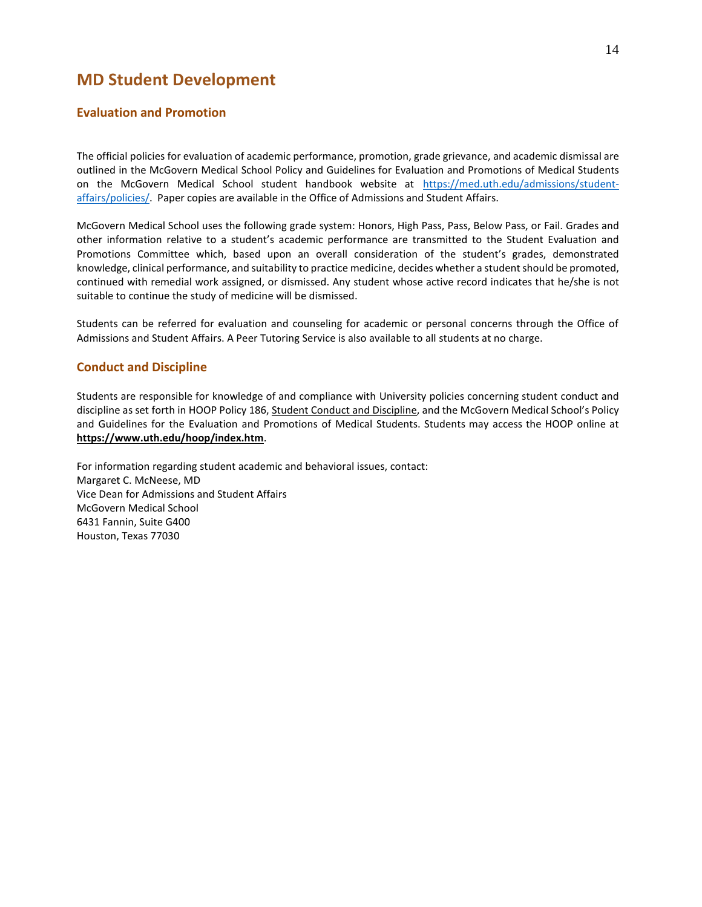## **MD Student Development**

## **Evaluation and Promotion**

The official policies for evaluation of academic performance, promotion, grade grievance, and academic dismissal are outlined in the McGovern Medical School Policy and Guidelines for Evaluation and Promotions of Medical Students on the McGovern Medical School student handbook website at [https://med.uth.edu/admissions/student](https://med.uth.edu/admissions/student-affairs/policies/)[affairs/policies/.](https://med.uth.edu/admissions/student-affairs/policies/) Paper copies are available in the Office of Admissions and Student Affairs.

McGovern Medical School uses the following grade system: Honors, High Pass, Pass, Below Pass, or Fail. Grades and other information relative to a student's academic performance are transmitted to the Student Evaluation and Promotions Committee which, based upon an overall consideration of the student's grades, demonstrated knowledge, clinical performance, and suitability to practice medicine, decides whether a student should be promoted, continued with remedial work assigned, or dismissed. Any student whose active record indicates that he/she is not suitable to continue the study of medicine will be dismissed.

Students can be referred for evaluation and counseling for academic or personal concerns through the Office of Admissions and Student Affairs. A Peer Tutoring Service is also available to all students at no charge.

## **Conduct and Discipline**

Students are responsible for knowledge of and compliance with University policies concerning student conduct and discipline as set forth in HOOP Policy 186, Student Conduct and Discipline, and the McGovern Medical School's Policy and Guidelines for the Evaluation and Promotions of Medical Students. Students may access the HOOP online at **https:/[/www.uth.edu/hoop/index.htm](http://www.uth.edu/hoop/index.htm)**.

For information regarding student academic and behavioral issues, contact: Margaret C. McNeese, MD Vice Dean for Admissions and Student Affairs McGovern Medical School 6431 Fannin, Suite G400 Houston, Texas 77030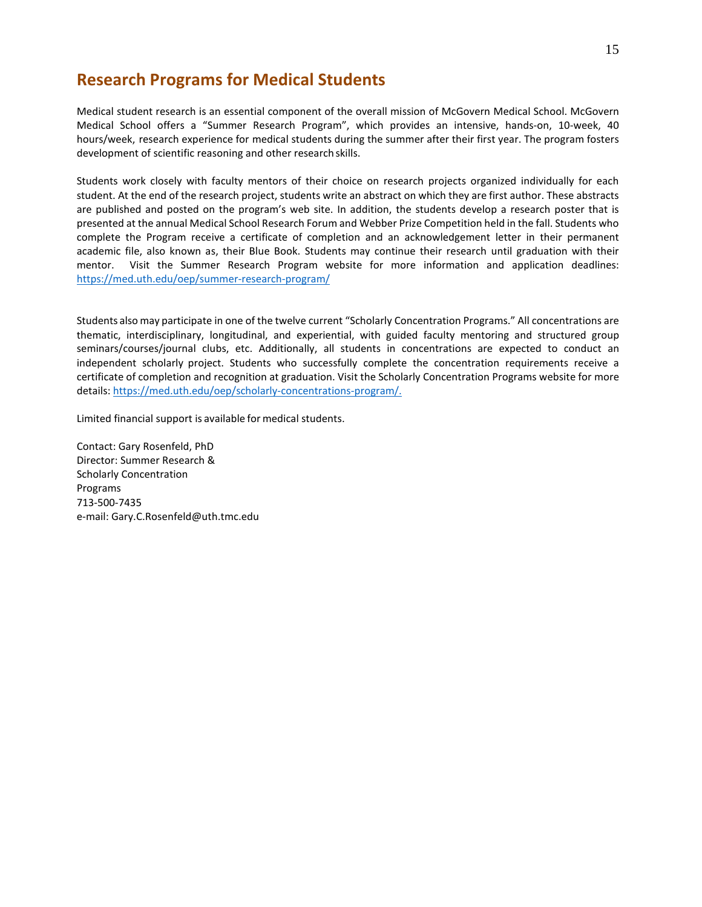## **Research Programs for Medical Students**

Medical student research is an essential component of the overall mission of McGovern Medical School. McGovern Medical School offers a "Summer Research Program", which provides an intensive, hands-on, 10-week, 40 hours/week, research experience for medical students during the summer after their first year. The program fosters development of scientific reasoning and other research skills.

Students work closely with faculty mentors of their choice on research projects organized individually for each student. At the end of the research project, students write an abstract on which they are first author. These abstracts are published and posted on the program's web site. In addition, the students develop a research poster that is presented at the annual Medical School Research Forum and Webber Prize Competition held in the fall. Students who complete the Program receive a certificate of completion and an acknowledgement letter in their permanent academic file, also known as, their Blue Book. Students may continue their research until graduation with their mentor. Visit the Summer Research Program website for more information and application deadlines: <https://med.uth.edu/oep/summer-research-program/>

Students also may participate in one of the twelve current "Scholarly Concentration Programs." All concentrations are thematic, interdisciplinary, longitudinal, and experiential, with guided faculty mentoring and structured group seminars/courses/journal clubs, etc. Additionally, all students in concentrations are expected to conduct an independent scholarly project. Students who successfully complete the concentration requirements receive a certificate of completion and recognition at graduation. Visit the Scholarly Concentration Programs website for more details: [https://med.uth.edu/oep/scholarly-concentrations-program/.](https://med.uth.edu/oep/scholarly-concentrations-program/)

Limited financial support is available for medical students.

Contact: Gary Rosenfeld, PhD Director: Summer Research & Scholarly Concentration Programs 713-500-7435 e-mail: [Gary.C.Rosenfeld@uth.tmc.edu](mailto:Gary.C.Rosenfeld@uth.tmc.edu)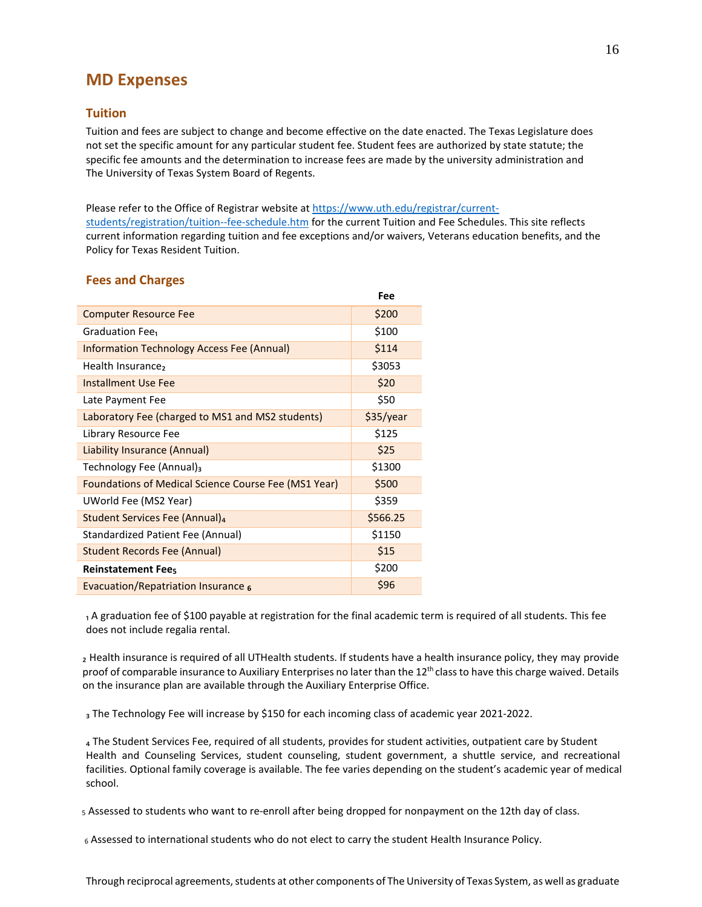## **MD Expenses**

## **Tuition**

Tuition and fees are subject to change and become effective on the date enacted. The Texas Legislature does not set the specific amount for any particular student fee. Student fees are authorized by state statute; the specific fee amounts and the determination to increase fees are made by the university administration and The University of Texas System Board of Regents.

Please refer to the Office of Registrar website a[t https://www.uth.edu/registrar/current](https://www.uth.edu/registrar/current-students/registration/tuition--fee-schedule.htm)[students/registration/tuition--fee-schedule.htm](https://www.uth.edu/registrar/current-students/registration/tuition--fee-schedule.htm) for the current Tuition and Fee Schedules. This site reflects current information regarding tuition and fee exceptions and/or waivers, Veterans education benefits, and the Policy for Texas Resident Tuition.

|                                                      | Fee       |
|------------------------------------------------------|-----------|
| <b>Computer Resource Fee</b>                         | \$200     |
| Graduation Fee <sub>1</sub>                          | \$100     |
| <b>Information Technology Access Fee (Annual)</b>    | \$114     |
| Health Insurance,                                    | \$3053    |
| <b>Installment Use Fee</b>                           | \$20      |
| Late Payment Fee                                     | \$50      |
| Laboratory Fee (charged to MS1 and MS2 students)     | \$35/year |
| Library Resource Fee                                 | \$125     |
| Liability Insurance (Annual)                         | \$25      |
| Technology Fee (Annual) <sub>3</sub>                 | \$1300    |
| Foundations of Medical Science Course Fee (MS1 Year) | \$500     |
| UWorld Fee (MS2 Year)                                | \$359     |
| Student Services Fee (Annual) <sub>4</sub>           | \$566.25  |
| Standardized Patient Fee (Annual)                    | \$1150    |
| Student Records Fee (Annual)                         | \$15      |
| <b>Reinstatement Fees</b>                            | \$200     |
| Evacuation/Repatriation Insurance $6$                | \$96      |
|                                                      |           |

## **Fees and Charges**

₁ A graduation fee of \$100 payable at registration for the final academic term is required of all students. This fee does not include regalia rental.

₂ Health insurance is required of all UTHealth students. If students have a health insurance policy, they may provide proof of comparable insurance to Auxiliary Enterprises no later than the  $12<sup>th</sup>$  class to have this charge waived. Details on the insurance plan are available through the Auxiliary Enterprise Office.

a The Technology Fee will increase by \$150 for each incoming class of academic year 2021-2022.

₄ The Student Services Fee, required of all students, provides for student activities, outpatient care by Student Health and Counseling Services, student counseling, student government, a shuttle service, and recreational facilities. Optional family coverage is available. The fee varies depending on the student's academic year of medical school.

5 Assessed to students who want to re-enroll after being dropped for nonpayment on the 12th day of class.

6 Assessed to international students who do not elect to carry the student Health Insurance Policy.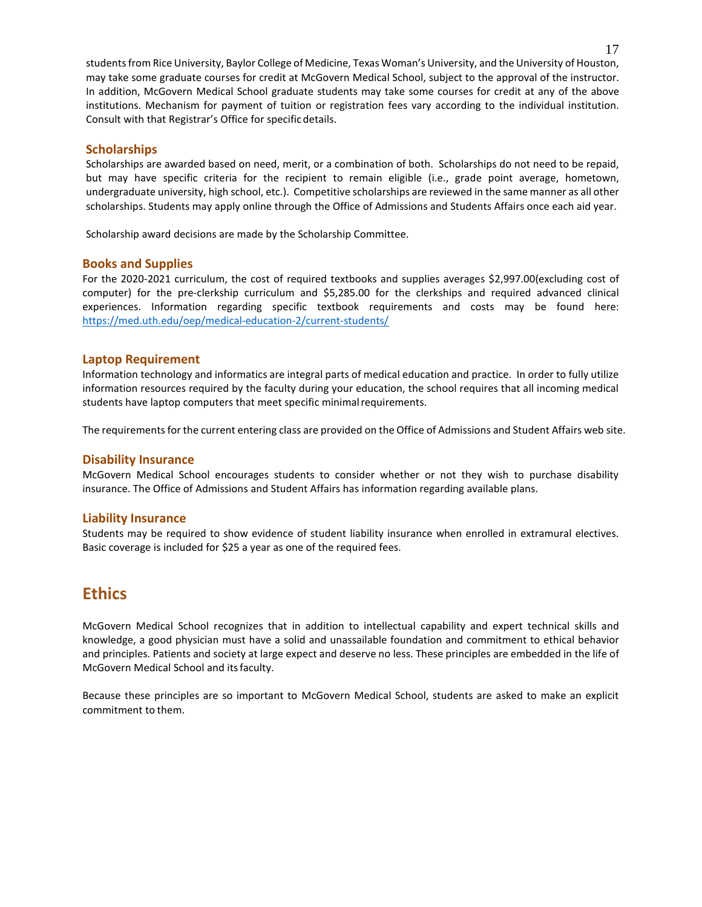students from Rice University, Baylor College of Medicine, Texas Woman's University, and the University of Houston, may take some graduate courses for credit at McGovern Medical School, subject to the approval of the instructor. In addition, McGovern Medical School graduate students may take some courses for credit at any of the above institutions. Mechanism for payment of tuition or registration fees vary according to the individual institution. Consult with that Registrar's Office for specific details.

## **Scholarships**

Scholarships are awarded based on need, merit, or a combination of both. Scholarships do not need to be repaid, but may have specific criteria for the recipient to remain eligible (i.e., grade point average, hometown, undergraduate university, high school, etc.). Competitive scholarships are reviewed in the same manner as all other scholarships. Students may apply online through the Office of Admissions and Students Affairs once each aid year.

Scholarship award decisions are made by the Scholarship Committee.

## **Books and Supplies**

For the 2020-2021 curriculum, the cost of required textbooks and supplies averages \$2,997.00(excluding cost of computer) for the pre-clerkship curriculum and \$5,285.00 for the clerkships and required advanced clinical experiences. Information regarding specific textbook requirements and costs may be found here: <https://med.uth.edu/oep/medical-education-2/current-students/>

## **Laptop Requirement**

Information technology and informatics are integral parts of medical education and practice. In order to fully utilize information resources required by the faculty during your education, the school requires that all incoming medical students have laptop computers that meet specific minimalrequirements.

The requirements for the current entering class are provided on the Office of Admissions and Student Affairs web site.

## **Disability Insurance**

McGovern Medical School encourages students to consider whether or not they wish to purchase disability insurance. The Office of Admissions and Student Affairs has information regarding available plans.

## **Liability Insurance**

Students may be required to show evidence of student liability insurance when enrolled in extramural electives. Basic coverage is included for \$25 a year as one of the required fees.

## **Ethics**

McGovern Medical School recognizes that in addition to intellectual capability and expert technical skills and knowledge, a good physician must have a solid and unassailable foundation and commitment to ethical behavior and principles. Patients and society at large expect and deserve no less. These principles are embedded in the life of McGovern Medical School and itsfaculty.

Because these principles are so important to McGovern Medical School, students are asked to make an explicit commitment to them.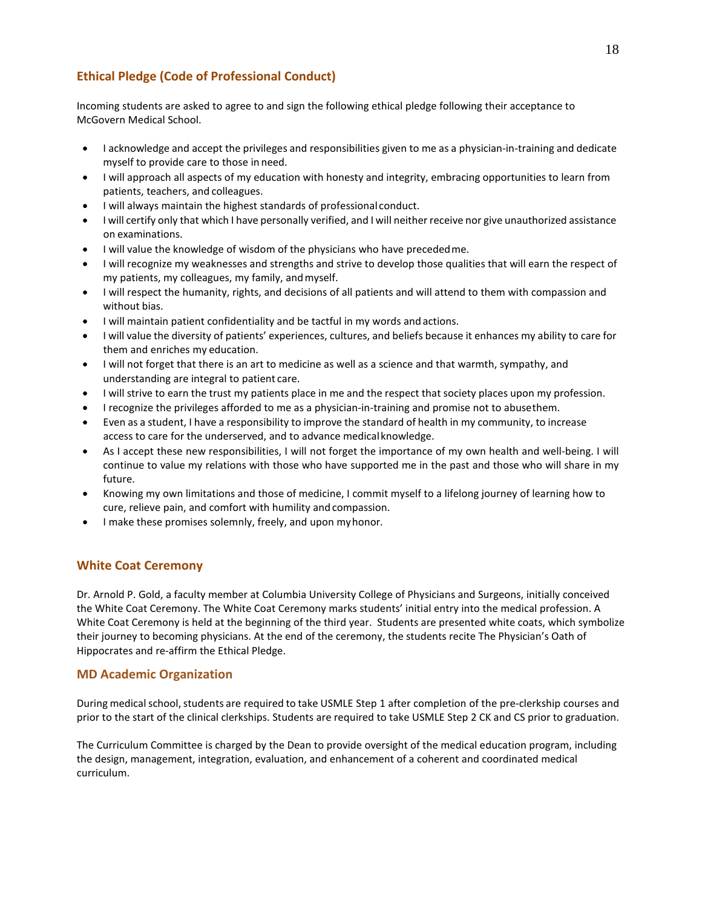## **Ethical Pledge (Code of Professional Conduct)**

Incoming students are asked to agree to and sign the following ethical pledge following their acceptance to McGovern Medical School.

- I acknowledge and accept the privileges and responsibilities given to me as a physician-in-training and dedicate myself to provide care to those in need.
- I will approach all aspects of my education with honesty and integrity, embracing opportunities to learn from patients, teachers, and colleagues.
- I will always maintain the highest standards of professional conduct.
- I will certify only that which I have personally verified, and I will neither receive nor give unauthorized assistance on examinations.
- I will value the knowledge of wisdom of the physicians who have precededme.
- I will recognize my weaknesses and strengths and strive to develop those qualities that will earn the respect of my patients, my colleagues, my family, andmyself.
- I will respect the humanity, rights, and decisions of all patients and will attend to them with compassion and without bias.
- I will maintain patient confidentiality and be tactful in my words and actions.
- I will value the diversity of patients' experiences, cultures, and beliefs because it enhances my ability to care for them and enriches my education.
- I will not forget that there is an art to medicine as well as a science and that warmth, sympathy, and understanding are integral to patient care.
- I will strive to earn the trust my patients place in me and the respect that society places upon my profession.
- I recognize the privileges afforded to me as a physician-in-training and promise not to abusethem.
- Even as a student, I have a responsibility to improve the standard of health in my community, to increase access to care for the underserved, and to advance medicalknowledge.
- As I accept these new responsibilities, I will not forget the importance of my own health and well-being. I will continue to value my relations with those who have supported me in the past and those who will share in my future.
- Knowing my own limitations and those of medicine, I commit myself to a lifelong journey of learning how to cure, relieve pain, and comfort with humility and compassion.
- I make these promises solemnly, freely, and upon myhonor.

## **White Coat Ceremony**

Dr. Arnold P. Gold, a faculty member at Columbia University College of Physicians and Surgeons, initially conceived the White Coat Ceremony. The White Coat Ceremony marks students' initial entry into the medical profession. A White Coat Ceremony is held at the beginning of the third year. Students are presented white coats, which symbolize their journey to becoming physicians. At the end of the ceremony, the students recite The Physician's Oath of Hippocrates and re-affirm the Ethical Pledge.

## **MD Academic Organization**

During medical school, students are required to take USMLE Step 1 after completion of the pre-clerkship courses and prior to the start of the clinical clerkships. Students are required to take USMLE Step 2 CK and CS prior to graduation.

The Curriculum Committee is charged by the Dean to provide oversight of the medical education program, including the design, management, integration, evaluation, and enhancement of a coherent and coordinated medical curriculum.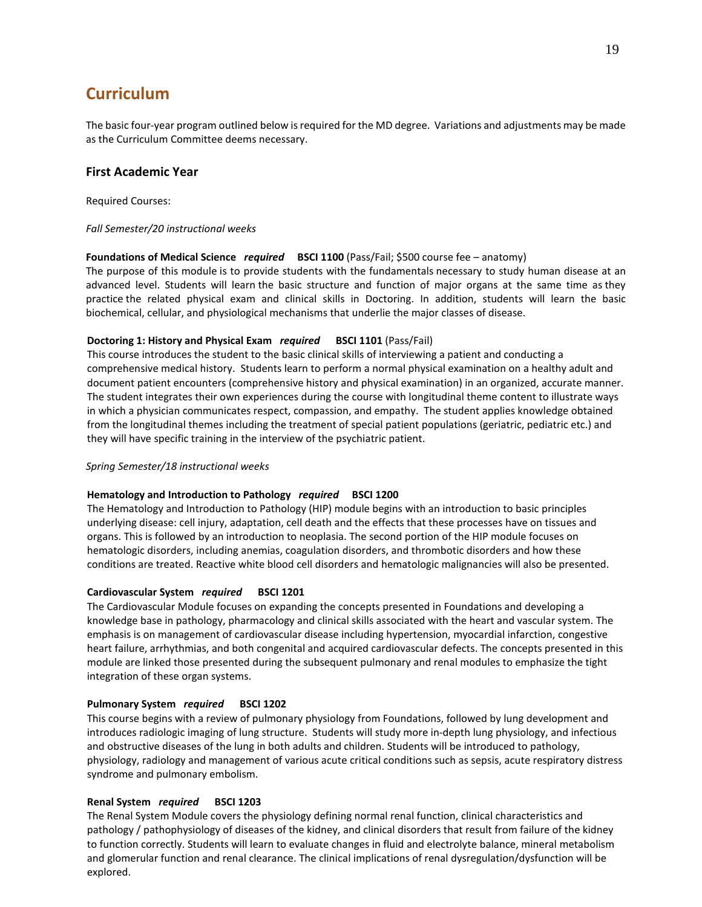## **Curriculum**

The basic four-year program outlined below is required for the MD degree. Variations and adjustments may be made as the Curriculum Committee deems necessary.

## **First Academic Year**

Required Courses:

## *Fall Semester/20 instructional weeks*

## **Foundations of Medical Science** *required* **BSCI 1100** (Pass/Fail; \$500 course fee – anatomy)

The purpose of this module is to provide students with the fundamentals necessary to study human disease at an advanced level. Students will learn the basic structure and function of major organs at the same time as they practice the related physical exam and clinical skills in Doctoring. In addition, students will learn the basic biochemical, cellular, and physiological mechanisms that underlie the major classes of disease.

## **Doctoring 1: History and Physical Exam** *required* **BSCI 1101** (Pass/Fail)

This course introduces the student to the basic clinical skills of interviewing a patient and conducting a comprehensive medical history. Students learn to perform a normal physical examination on a healthy adult and document patient encounters (comprehensive history and physical examination) in an organized, accurate manner. The student integrates their own experiences during the course with longitudinal theme content to illustrate ways in which a physician communicates respect, compassion, and empathy. The student applies knowledge obtained from the longitudinal themes including the treatment of special patient populations (geriatric, pediatric etc.) and they will have specific training in the interview of the psychiatric patient.

## *Spring Semester/18 instructional weeks*

## **Hematology and Introduction to Pathology** *required* **BSCI 1200**

The Hematology and Introduction to Pathology (HIP) module begins with an introduction to basic principles underlying disease: cell injury, adaptation, cell death and the effects that these processes have on tissues and organs. This is followed by an introduction to neoplasia. The second portion of the HIP module focuses on hematologic disorders, including anemias, coagulation disorders, and thrombotic disorders and how these conditions are treated. Reactive white blood cell disorders and hematologic malignancies will also be presented.

## **Cardiovascular System** *required* **BSCI 1201**

The Cardiovascular Module focuses on expanding the concepts presented in Foundations and developing a knowledge base in pathology, pharmacology and clinical skills associated with the heart and vascular system. The emphasis is on management of cardiovascular disease including hypertension, myocardial infarction, congestive heart failure, arrhythmias, and both congenital and acquired cardiovascular defects. The concepts presented in this module are linked those presented during the subsequent pulmonary and renal modules to emphasize the tight integration of these organ systems.

## **Pulmonary System** *required* **BSCI 1202**

This course begins with a review of pulmonary physiology from Foundations, followed by lung development and introduces radiologic imaging of lung structure. Students will study more in-depth lung physiology, and infectious and obstructive diseases of the lung in both adults and children. Students will be introduced to pathology, physiology, radiology and management of various acute critical conditions such as sepsis, acute respiratory distress syndrome and pulmonary embolism.

## **Renal System** *required* **BSCI 1203**

The Renal System Module covers the physiology defining normal renal function, clinical characteristics and pathology / pathophysiology of diseases of the kidney, and clinical disorders that result from failure of the kidney to function correctly. Students will learn to evaluate changes in fluid and electrolyte balance, mineral metabolism and glomerular function and renal clearance. The clinical implications of renal dysregulation/dysfunction will be explored.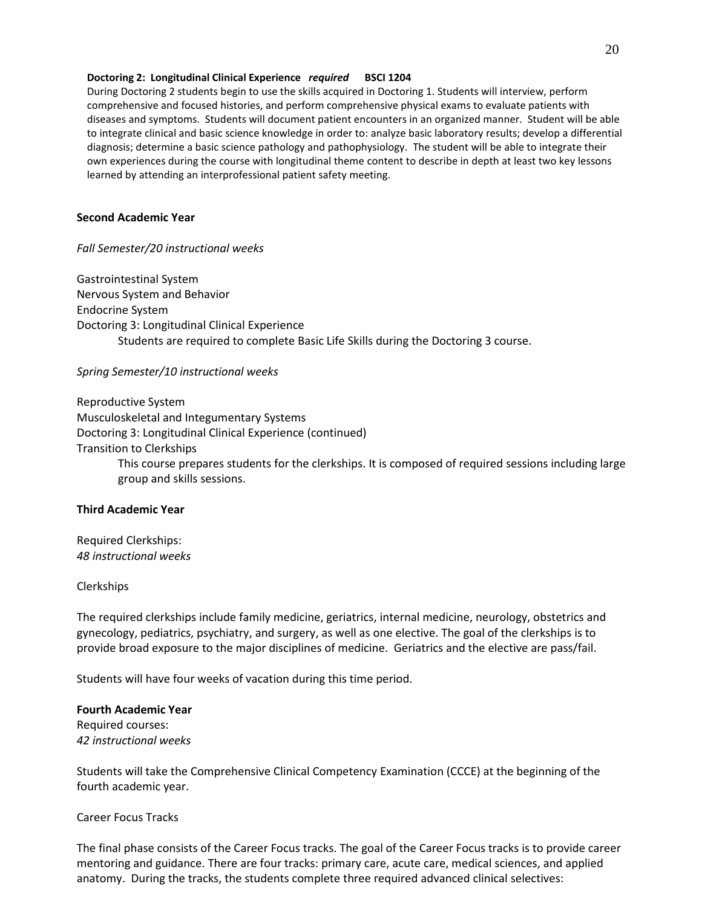## **Doctoring 2: Longitudinal Clinical Experience** *required* **BSCI 1204**

During Doctoring 2 students begin to use the skills acquired in Doctoring 1. Students will interview, perform comprehensive and focused histories, and perform comprehensive physical exams to evaluate patients with diseases and symptoms. Students will document patient encounters in an organized manner. Student will be able to integrate clinical and basic science knowledge in order to: analyze basic laboratory results; develop a differential diagnosis; determine a basic science pathology and pathophysiology. The student will be able to integrate their own experiences during the course with longitudinal theme content to describe in depth at least two key lessons learned by attending an interprofessional patient safety meeting.

## **Second Academic Year**

*Fall Semester/20 instructional weeks*

Gastrointestinal System Nervous System and Behavior Endocrine System Doctoring 3: Longitudinal Clinical Experience Students are required to complete Basic Life Skills during the Doctoring 3 course.

## *Spring Semester/10 instructional weeks*

Reproductive System Musculoskeletal and Integumentary Systems Doctoring 3: Longitudinal Clinical Experience (continued) Transition to Clerkships This course prepares students for the clerkships. It is composed of required sessions including large group and skills sessions.

## **Third Academic Year**

Required Clerkships: *48 instructional weeks*

## Clerkships

The required clerkships include family medicine, geriatrics, internal medicine, neurology, obstetrics and gynecology, pediatrics, psychiatry, and surgery, as well as one elective. The goal of the clerkships is to provide broad exposure to the major disciplines of medicine. Geriatrics and the elective are pass/fail.

Students will have four weeks of vacation during this time period.

## **Fourth Academic Year**

Required courses: *42 instructional weeks*

Students will take the Comprehensive Clinical Competency Examination (CCCE) at the beginning of the fourth academic year.

## Career Focus Tracks

The final phase consists of the Career Focus tracks. The goal of the Career Focus tracks is to provide career mentoring and guidance. There are four tracks: primary care, acute care, medical sciences, and applied anatomy. During the tracks, the students complete three required advanced clinical selectives: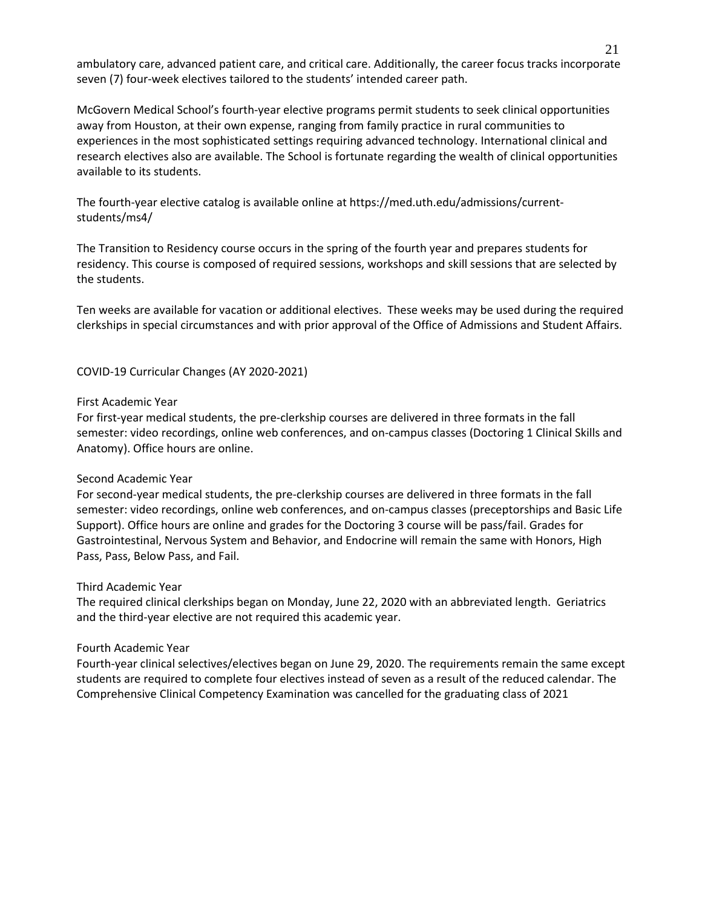ambulatory care, advanced patient care, and critical care. Additionally, the career focus tracks incorporate seven (7) four-week electives tailored to the students' intended career path.

McGovern Medical School's fourth-year elective programs permit students to seek clinical opportunities away from Houston, at their own expense, ranging from family practice in rural communities to experiences in the most sophisticated settings requiring advanced technology. International clinical and research electives also are available. The School is fortunate regarding the wealth of clinical opportunities available to its students.

The fourth-year elective catalog is available online at https://med.uth.edu/admissions/currentstudents/ms4/

The Transition to Residency course occurs in the spring of the fourth year and prepares students for residency. This course is composed of required sessions, workshops and skill sessions that are selected by the students.

Ten weeks are available for vacation or additional electives. These weeks may be used during the required clerkships in special circumstances and with prior approval of the Office of Admissions and Student Affairs.

COVID-19 Curricular Changes (AY 2020-2021)

## First Academic Year

For first-year medical students, the pre-clerkship courses are delivered in three formats in the fall semester: video recordings, online web conferences, and on-campus classes (Doctoring 1 Clinical Skills and Anatomy). Office hours are online.

## Second Academic Year

For second-year medical students, the pre-clerkship courses are delivered in three formats in the fall semester: video recordings, online web conferences, and on-campus classes (preceptorships and Basic Life Support). Office hours are online and grades for the Doctoring 3 course will be pass/fail. Grades for Gastrointestinal, Nervous System and Behavior, and Endocrine will remain the same with Honors, High Pass, Pass, Below Pass, and Fail.

## Third Academic Year

The required clinical clerkships began on Monday, June 22, 2020 with an abbreviated length. Geriatrics and the third-year elective are not required this academic year.

## Fourth Academic Year

Fourth-year clinical selectives/electives began on June 29, 2020. The requirements remain the same except students are required to complete four electives instead of seven as a result of the reduced calendar. The Comprehensive Clinical Competency Examination was cancelled for the graduating class of 2021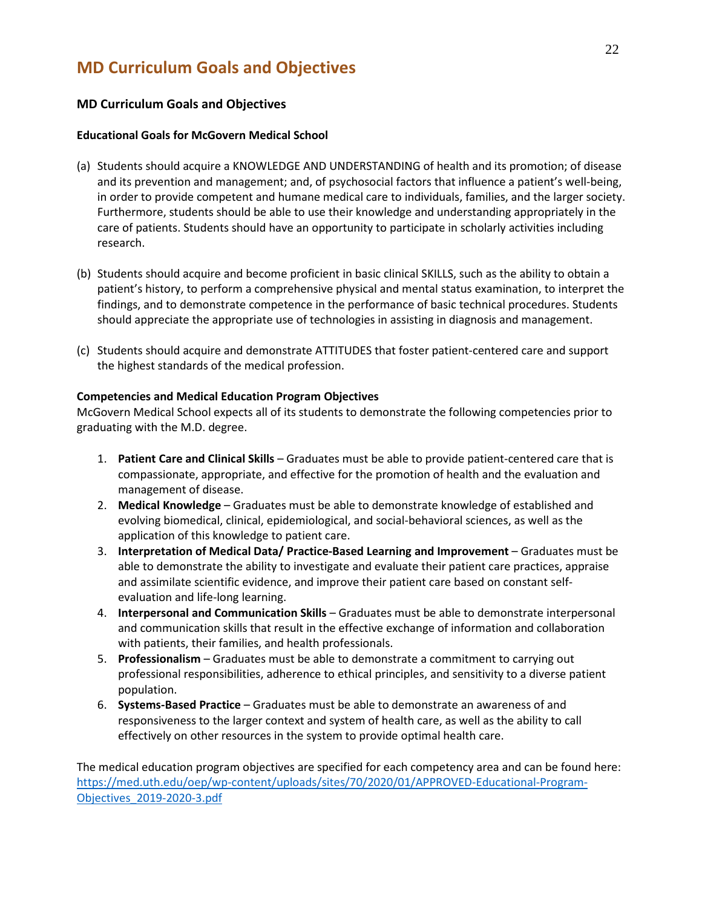## **MD Curriculum Goals and Objectives**

## **MD Curriculum Goals and Objectives**

## **Educational Goals for McGovern Medical School**

- (a) Students should acquire a KNOWLEDGE AND UNDERSTANDING of health and its promotion; of disease and its prevention and management; and, of psychosocial factors that influence a patient's well-being, in order to provide competent and humane medical care to individuals, families, and the larger society. Furthermore, students should be able to use their knowledge and understanding appropriately in the care of patients. Students should have an opportunity to participate in scholarly activities including research.
- (b) Students should acquire and become proficient in basic clinical SKILLS, such as the ability to obtain a patient's history, to perform a comprehensive physical and mental status examination, to interpret the findings, and to demonstrate competence in the performance of basic technical procedures. Students should appreciate the appropriate use of technologies in assisting in diagnosis and management.
- (c) Students should acquire and demonstrate ATTITUDES that foster patient-centered care and support the highest standards of the medical profession.

## **Competencies and Medical Education Program Objectives**

McGovern Medical School expects all of its students to demonstrate the following competencies prior to graduating with the M.D. degree.

- 1. **Patient Care and Clinical Skills** Graduates must be able to provide patient-centered care that is compassionate, appropriate, and effective for the promotion of health and the evaluation and management of disease.
- 2. **Medical Knowledge** Graduates must be able to demonstrate knowledge of established and evolving biomedical, clinical, epidemiological, and social-behavioral sciences, as well as the application of this knowledge to patient care.
- 3. **Interpretation of Medical Data/ Practice-Based Learning and Improvement** Graduates must be able to demonstrate the ability to investigate and evaluate their patient care practices, appraise and assimilate scientific evidence, and improve their patient care based on constant selfevaluation and life-long learning.
- 4. **Interpersonal and Communication Skills** Graduates must be able to demonstrate interpersonal and communication skills that result in the effective exchange of information and collaboration with patients, their families, and health professionals.
- 5. **Professionalism** Graduates must be able to demonstrate a commitment to carrying out professional responsibilities, adherence to ethical principles, and sensitivity to a diverse patient population.
- 6. **Systems-Based Practice** Graduates must be able to demonstrate an awareness of and responsiveness to the larger context and system of health care, as well as the ability to call effectively on other resources in the system to provide optimal health care.

The medical education program objectives are specified for each competency area and can be found here: [https://med.uth.edu/oep/wp-content/uploads/sites/70/2020/01/APPROVED-Educational-Program-](https://med.uth.edu/oep/wp-content/uploads/sites/70/2020/01/APPROVED-Educational-Program-Objectives_2019-2020-3.pdf)[Objectives\\_2019-2020-3.pdf](https://med.uth.edu/oep/wp-content/uploads/sites/70/2020/01/APPROVED-Educational-Program-Objectives_2019-2020-3.pdf)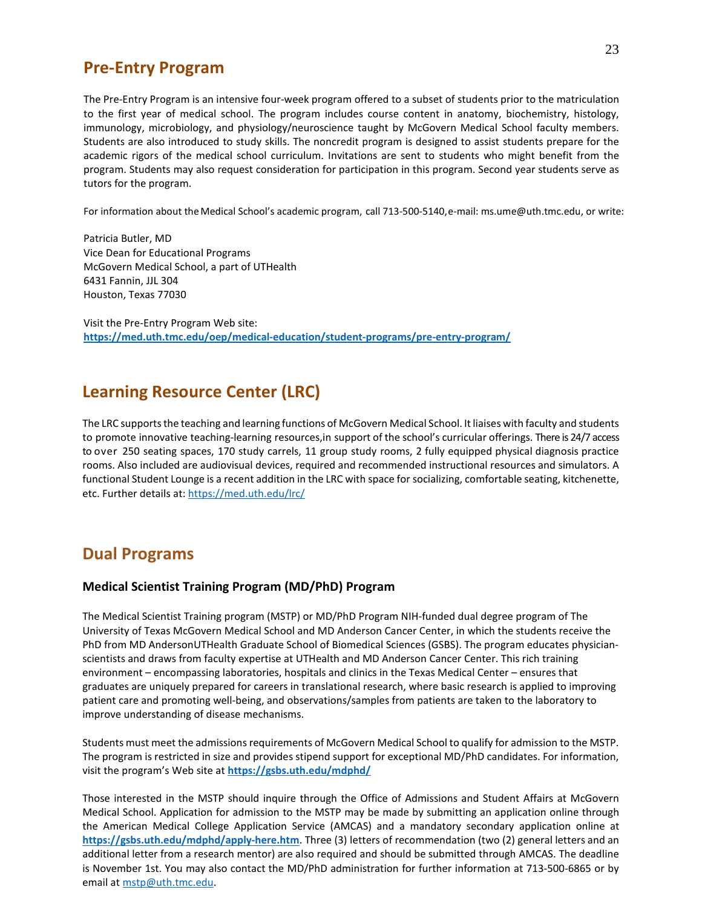## **Pre-Entry Program**

The Pre-Entry Program is an intensive four-week program offered to a subset of students prior to the matriculation to the first year of medical school. The program includes course content in anatomy, biochemistry, histology, immunology, microbiology, and physiology/neuroscience taught by McGovern Medical School faculty members. Students are also introduced to study skills. The noncredit program is designed to assist students prepare for the academic rigors of the medical school curriculum. Invitations are sent to students who might benefit from the program. Students may also request consideration for participation in this program. Second year students serve as tutors for the program.

For information about the Medical School's academic program, call 713-500-5140,e-mail: ms.ume@uth.tmc.edu, or write:

Patricia Butler, MD Vice Dean for Educational Programs McGovern Medical School, a part of UTHealth 6431 Fannin, JJL 304 Houston, Texas 77030

Visit the Pre-Entry Program Web site: **[https://med.uth.tmc.edu/oep/medical-education/student-programs/pre-entry-program/](https://med.uth.edu/oep/medical-education/student-programs/pre-entry-program/)**

## **Learning Resource Center (LRC)**

The LRC supports the teaching and learning functions of McGovern Medical School. It liaises with faculty and students to promote innovative teaching-learning resources,in support of the school's curricular offerings. There is 24/7 access to over 250 seating spaces, 170 study carrels, 11 group study rooms, 2 fully equipped physical diagnosis practice rooms. Also included are audiovisual devices, required and recommended instructional resources and simulators. A functional Student Lounge is a recent addition in the LRC with space for socializing, comfortable seating, kitchenette, etc. Further details at:<https://med.uth.edu/lrc/>

## **Dual Programs**

## **Medical Scientist Training Program (MD/PhD) Program**

The Medical Scientist Training program (MSTP) or MD/PhD Program NIH-funded dual degree program of The University of Texas McGovern Medical School and MD Anderson Cancer Center, in which the students receive the PhD from MD AndersonUTHealth Graduate School of Biomedical Sciences (GSBS). The program educates physicianscientists and draws from faculty expertise at UTHealth and MD Anderson Cancer Center. This rich training environment – encompassing laboratories, hospitals and clinics in the Texas Medical Center – ensures that graduates are uniquely prepared for careers in translational research, where basic research is applied to improving patient care and promoting well-being, and observations/samples from patients are taken to the laboratory to improve understanding of disease mechanisms.

Students must meet the admissions requirements of McGovern Medical School to qualify for admission to the MSTP. The program is restricted in size and provides stipend support for exceptional MD/PhD candidates. For information, visit the program's Web site at **<https://gsbs.uth.edu/mdphd/>**

Those interested in the MSTP should inquire through the Office of Admissions and Student Affairs at McGovern Medical School. Application for admission to the MSTP may be made by submitting an application online through the American Medical College Application Service (AMCAS) and a mandatory secondary application online at **<https://gsbs.uth.edu/mdphd/apply-here.htm>**. Three (3) letters of recommendation (two (2) general letters and an additional letter from a research mentor) are also required and should be submitted through AMCAS. The deadline is November 1st. You may also contact the MD/PhD administration for further information at 713-500-6865 or by email at [mstp@uth.tmc.edu.](mailto:mstp@uth.tmc.edu)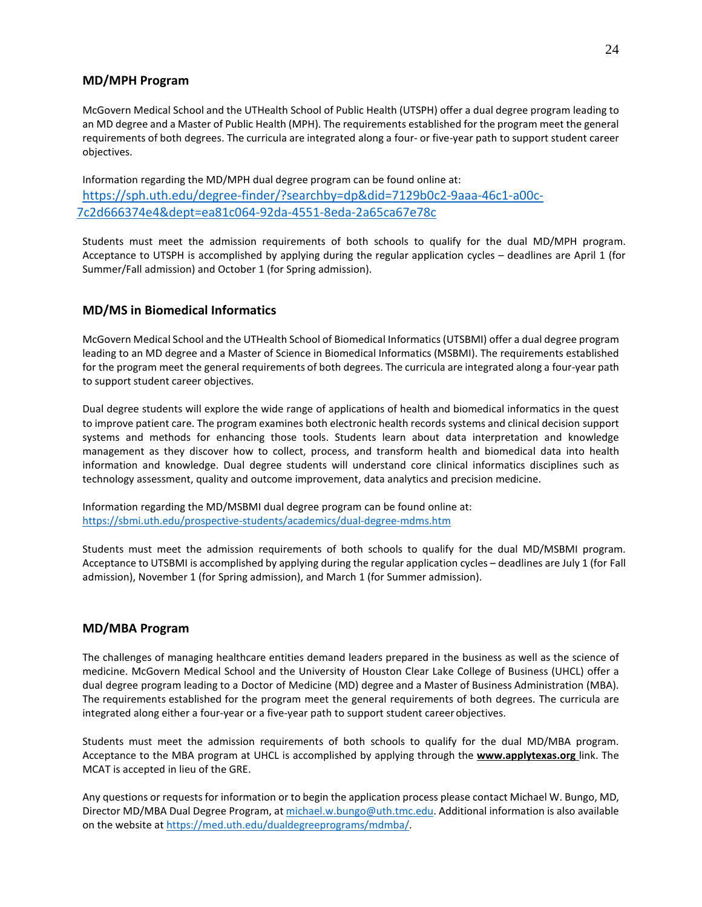## **MD/MPH Program**

McGovern Medical School and the UTHealth School of Public Health (UTSPH) offer a dual degree program leading to an MD degree and a Master of Public Health (MPH). The requirements established for the program meet the general requirements of both degrees. The curricula are integrated along a four- or five-year path to support student career objectives.

Information regarding the MD/MPH dual degree program can be found online at: [https://sph.uth.edu/degree-finder/?searchby=dp&did=7129b0c2-9aaa-46c1-a00c-](https://sph.uth.edu/degree-finder/?searchby=dp&did=7129b0c2-9aaa-46c1-a00c-7c2d666374e4&dept=ea81c064-92da-4551-8eda-2a65ca67e78c)[7c2d666374e4&dept=ea81c064-92da-4551-8eda-2a65ca67e78c](https://sph.uth.edu/degree-finder/?searchby=dp&did=7129b0c2-9aaa-46c1-a00c-7c2d666374e4&dept=ea81c064-92da-4551-8eda-2a65ca67e78c)

Students must meet the admission requirements of both schools to qualify for the dual MD/MPH program. Acceptance to UTSPH is accomplished by applying during the regular application cycles – deadlines are April 1 (for Summer/Fall admission) and October 1 (for Spring admission).

## **MD/MS in Biomedical Informatics**

McGovern Medical School and the UTHealth School of Biomedical Informatics (UTSBMI) offer a dual degree program leading to an MD degree and a Master of Science in Biomedical Informatics (MSBMI). The requirements established for the program meet the general requirements of both degrees. The curricula are integrated along a four-year path to support student career objectives.

Dual degree students will explore the wide range of applications of health and biomedical informatics in the quest to improve patient care. The program examines both electronic health records systems and clinical decision support systems and methods for enhancing those tools. Students learn about data interpretation and knowledge management as they discover how to collect, process, and transform health and biomedical data into health information and knowledge. Dual degree students will understand core clinical informatics disciplines such as technology assessment, quality and outcome improvement, data analytics and precision medicine.

Information regarding the MD/MSBMI dual degree program can be found online at: <https://sbmi.uth.edu/prospective-students/academics/dual-degree-mdms.htm>

Students must meet the admission requirements of both schools to qualify for the dual MD/MSBMI program. Acceptance to UTSBMI is accomplished by applying during the regular application cycles – deadlines are July 1 (for Fall admission), November 1 (for Spring admission), and March 1 (for Summer admission).

## **MD/MBA Program**

The challenges of managing healthcare entities demand leaders prepared in the business as well as the science of medicine. McGovern Medical School and the University of Houston Clear Lake College of Business (UHCL) offer a dual degree program leading to a Doctor of Medicine (MD) degree and a Master of Business Administration (MBA). The requirements established for the program meet the general requirements of both degrees. The curricula are integrated along either a four-year or a five-year path to support student career objectives.

Students must meet the admission requirements of both schools to qualify for the dual MD/MBA program. Acceptance to the MBA program at UHCL is accomplished by applying through the **[www.applytexas.org](http://www.applytexas.org/)** link. The MCAT is accepted in lieu of the GRE.

Any questions or requests for information or to begin the application process please contact Michael W. Bungo, MD, Director MD/MBA Dual Degree Program, a[t michael.w.bungo@uth.tmc.edu.](mailto:michael.w.bungo@uth.tmc.edu) Additional information is also available on the website at [https://med.uth.edu/dualdegreeprograms/mdmba/.](https://med.uth.edu/dualdegreeprograms/mdmba/)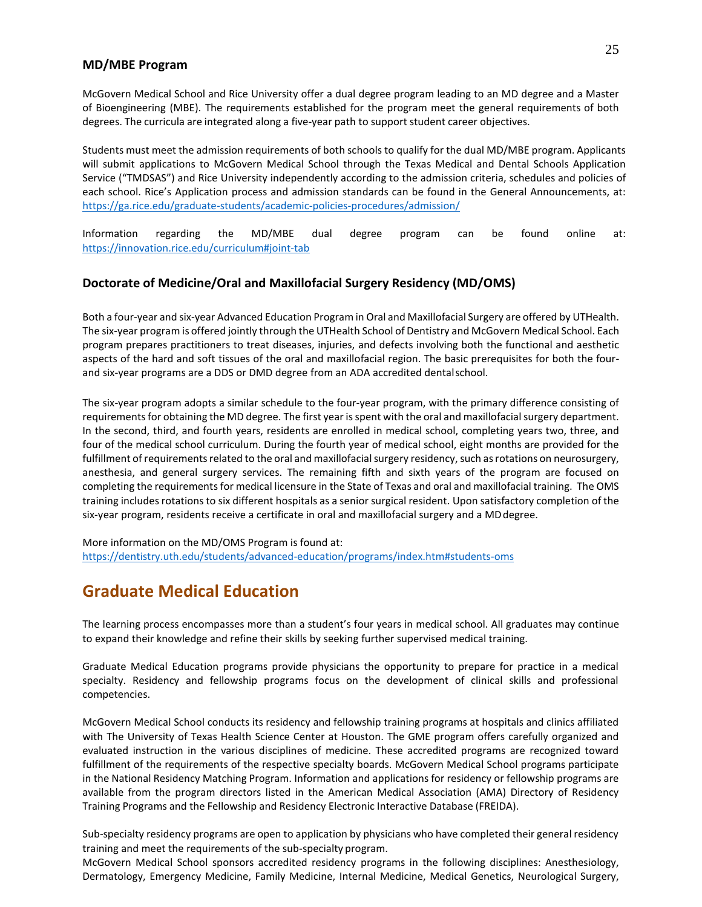## **MD/MBE Program**

McGovern Medical School and Rice University offer a dual degree program leading to an MD degree and a Master of Bioengineering (MBE). The requirements established for the program meet the general requirements of both degrees. The curricula are integrated along a five-year path to support student career objectives.

Students must meet the admission requirements of both schools to qualify for the dual MD/MBE program. Applicants will submit applications to McGovern Medical School through the Texas Medical and Dental Schools Application Service ("TMDSAS") and Rice University independently according to the admission criteria, schedules and policies of each school. Rice's Application process and admission standards can be found in the General Announcements, at: <https://ga.rice.edu/graduate-students/academic-policies-procedures/admission/>

Information regarding the MD/MBE dual degree program can be found online at: <https://innovation.rice.edu/curriculum#joint-tab>

## **Doctorate of Medicine/Oral and Maxillofacial Surgery Residency (MD/OMS)**

Both a four-year and six-year Advanced Education Program in Oral and Maxillofacial Surgery are offered by UTHealth. The six-year program is offered jointly through the UTHealth School of Dentistry and McGovern Medical School. Each program prepares practitioners to treat diseases, injuries, and defects involving both the functional and aesthetic aspects of the hard and soft tissues of the oral and maxillofacial region. The basic prerequisites for both the fourand six-year programs are a DDS or DMD degree from an ADA accredited dentalschool.

The six-year program adopts a similar schedule to the four-year program, with the primary difference consisting of requirements for obtaining the MD degree. The first year is spent with the oral and maxillofacial surgery department. In the second, third, and fourth years, residents are enrolled in medical school, completing years two, three, and four of the medical school curriculum. During the fourth year of medical school, eight months are provided for the fulfillment of requirements related to the oral and maxillofacial surgery residency, such as rotations on neurosurgery, anesthesia, and general surgery services. The remaining fifth and sixth years of the program are focused on completing the requirements for medical licensure in the State of Texas and oral and maxillofacial training. The OMS training includes rotations to six different hospitals as a senior surgical resident. Upon satisfactory completion of the six-year program, residents receive a certificate in oral and maxillofacial surgery and a MDdegree.

More information on the MD/OMS Program is found at: <https://dentistry.uth.edu/students/advanced-education/programs/index.htm#students-oms>

## **Graduate Medical Education**

The learning process encompasses more than a student's four years in medical school. All graduates may continue to expand their knowledge and refine their skills by seeking further supervised medical training.

Graduate Medical Education programs provide physicians the opportunity to prepare for practice in a medical specialty. Residency and fellowship programs focus on the development of clinical skills and professional competencies.

McGovern Medical School conducts its residency and fellowship training programs at hospitals and clinics affiliated with The University of Texas Health Science Center at Houston. The GME program offers carefully organized and evaluated instruction in the various disciplines of medicine. These accredited programs are recognized toward fulfillment of the requirements of the respective specialty boards. McGovern Medical School programs participate in the National Residency Matching Program. Information and applications for residency or fellowship programs are available from the program directors listed in the American Medical Association (AMA) Directory of Residency Training Programs and the Fellowship and Residency Electronic Interactive Database (FREIDA).

Sub-specialty residency programs are open to application by physicians who have completed their general residency training and meet the requirements of the sub-specialty program.

McGovern Medical School sponsors accredited residency programs in the following disciplines: Anesthesiology, Dermatology, Emergency Medicine, Family Medicine, Internal Medicine, Medical Genetics, Neurological Surgery,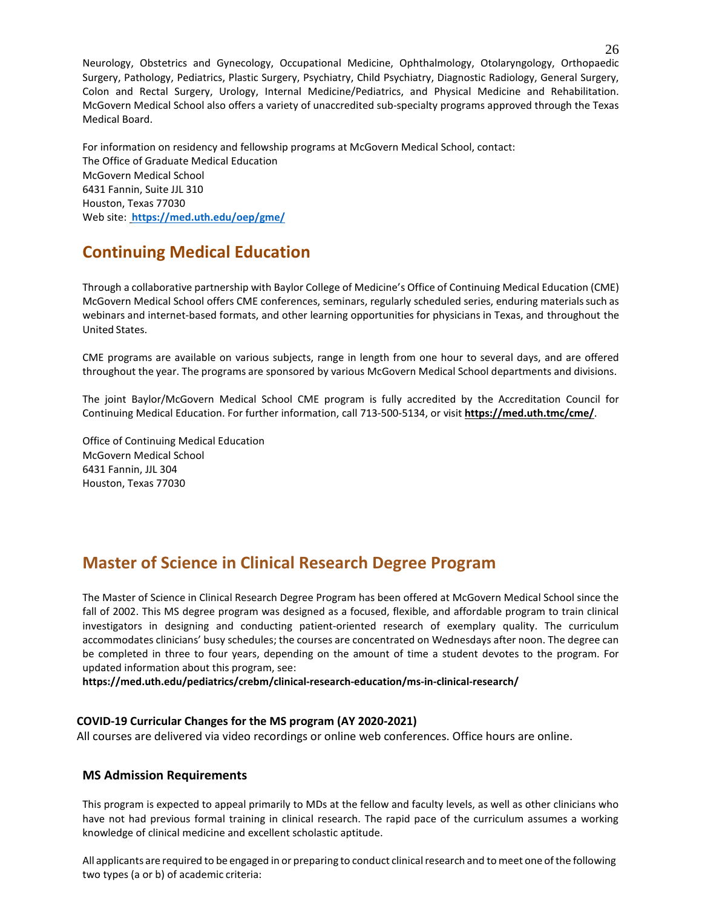Neurology, Obstetrics and Gynecology, Occupational Medicine, Ophthalmology, Otolaryngology, Orthopaedic Surgery, Pathology, Pediatrics, Plastic Surgery, Psychiatry, Child Psychiatry, Diagnostic Radiology, General Surgery, Colon and Rectal Surgery, Urology, Internal Medicine/Pediatrics, and Physical Medicine and Rehabilitation. McGovern Medical School also offers a variety of unaccredited sub-specialty programs approved through the Texas Medical Board.

For information on residency and fellowship programs at McGovern Medical School, contact: The Office of Graduate Medical Education McGovern Medical School 6431 Fannin, Suite JJL 310 Houston, Texas 77030 Web site: **<https://med.uth.edu/oep/gme/>**

## **Continuing Medical Education**

Through a collaborative partnership with Baylor College of Medicine's Office of Continuing Medical Education (CME) McGovern Medical School offers CME conferences, seminars, regularly scheduled series, enduring materialssuch as webinars and internet-based formats, and other learning opportunities for physicians in Texas, and throughout the United States.

CME programs are available on various subjects, range in length from one hour to several days, and are offered throughout the year. The programs are sponsored by various McGovern Medical School departments and divisions.

The joint Baylor/McGovern Medical School CME program is fully accredited by the Accreditation Council for Continuing Medical Education. For further information, call 713-500-5134, or visit **[https://med.uth.tmc/cme/](http://www.utcme.net/)**.

Office of Continuing Medical Education McGovern Medical School 6431 Fannin, JJL 304 Houston, Texas 77030

## **Master of Science in Clinical Research Degree Program**

The Master of Science in Clinical Research Degree Program has been offered at McGovern Medical School since the fall of 2002. This MS degree program was designed as a focused, flexible, and affordable program to train clinical investigators in designing and conducting patient-oriented research of exemplary quality. The curriculum accommodates clinicians' busy schedules; the courses are concentrated on Wednesdays after noon. The degree can be completed in three to four years, depending on the amount of time a student devotes to the program. For updated information about this program, see:

**https://med.uth.edu/pediatrics/crebm/clinical-research-education/ms-in-clinical-research/**

## **COVID-19 Curricular Changes for the MS program (AY 2020-2021)**

All courses are delivered via video recordings or online web conferences. Office hours are online.

## **MS Admission Requirements**

This program is expected to appeal primarily to MDs at the fellow and faculty levels, as well as other clinicians who have not had previous formal training in clinical research. The rapid pace of the curriculum assumes a working knowledge of clinical medicine and excellent scholastic aptitude.

All applicants are required to be engaged in or preparing to conduct clinicalresearch and to meet one ofthe following two types (a or b) of academic criteria: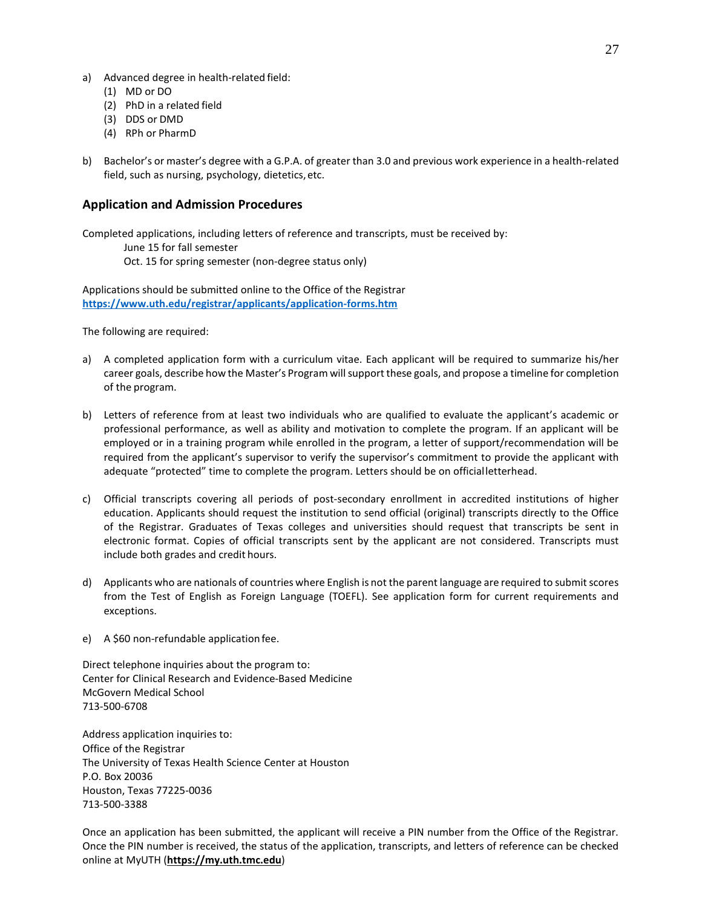- a) Advanced degree in health-related field:
	- (1) MD or DO
	- (2) PhD in a related field
	- (3) DDS or DMD
	- (4) RPh or PharmD
- b) Bachelor's or master's degree with a G.P.A. of greater than 3.0 and previous work experience in a health-related field, such as nursing, psychology, dietetics,etc.

## **Application and Admission Procedures**

Completed applications, including letters of reference and transcripts, must be received by: June 15 for fall semester Oct. 15 for spring semester (non-degree status only)

Applications should be submitted online to the Office of the Registrar **<https://www.uth.edu/registrar/applicants/application-forms.htm>**

The following are required:

- a) A completed application form with a curriculum vitae. Each applicant will be required to summarize his/her career goals, describe how the Master's Program willsupport these goals, and propose a timeline for completion of the program.
- b) Letters of reference from at least two individuals who are qualified to evaluate the applicant's academic or professional performance, as well as ability and motivation to complete the program. If an applicant will be employed or in a training program while enrolled in the program, a letter of support/recommendation will be required from the applicant's supervisor to verify the supervisor's commitment to provide the applicant with adequate "protected" time to complete the program. Letters should be on officialletterhead.
- c) Official transcripts covering all periods of post-secondary enrollment in accredited institutions of higher education. Applicants should request the institution to send official (original) transcripts directly to the Office of the Registrar. Graduates of Texas colleges and universities should request that transcripts be sent in electronic format. Copies of official transcripts sent by the applicant are not considered. Transcripts must include both grades and credit hours.
- d) Applicants who are nationals of countries where English is not the parent language are required to submit scores from the Test of English as Foreign Language (TOEFL). See application form for current requirements and exceptions.
- e) A \$60 non-refundable application fee.

Direct telephone inquiries about the program to: Center for Clinical Research and Evidence-Based Medicine McGovern Medical School 713-500-6708

Address application inquiries to: Office of the Registrar The University of Texas Health Science Center at Houston P.O. Box 20036 Houston, Texas 77225-0036 713-500-3388

Once an application has been submitted, the applicant will receive a PIN number from the Office of the Registrar. Once the PIN number is received, the status of the application, transcripts, and letters of reference can be checked online at MyUTH (**https://my.uth.tmc.edu**)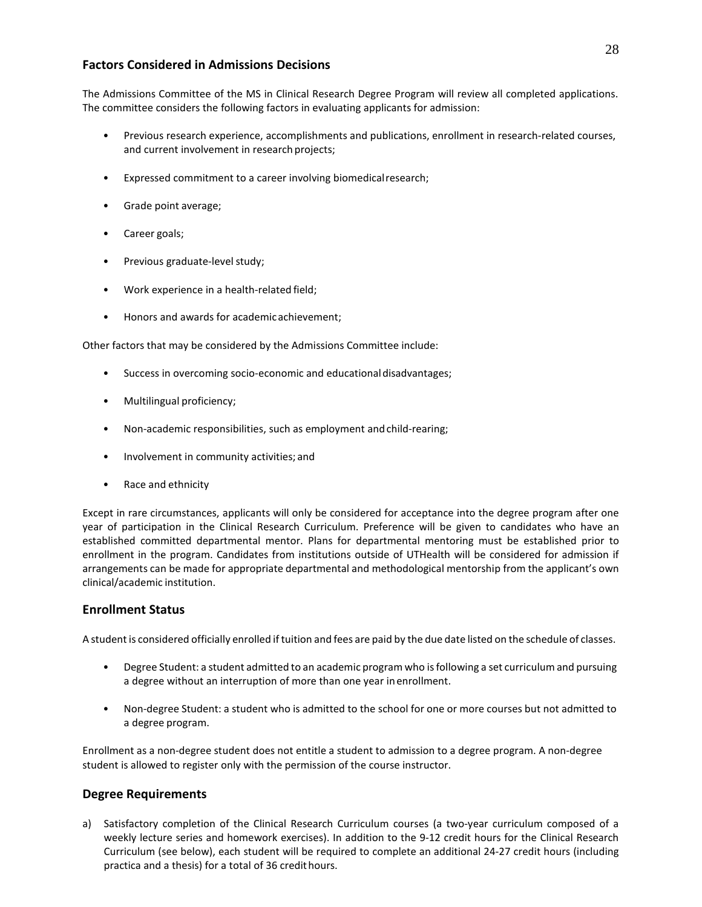## **Factors Considered in Admissions Decisions**

The Admissions Committee of the MS in Clinical Research Degree Program will review all completed applications. The committee considers the following factors in evaluating applicants for admission:

- Previous research experience, accomplishments and publications, enrollment in research-related courses, and current involvement in research projects;
- Expressed commitment to a career involving biomedicalresearch;
- Grade point average;
- Career goals;
- Previous graduate-level study;
- Work experience in a health-related field;
- Honors and awards for academicachievement;

Other factors that may be considered by the Admissions Committee include:

- Success in overcoming socio-economic and educationaldisadvantages;
- Multilingual proficiency;
- Non-academic responsibilities, such as employment andchild-rearing;
- Involvement in community activities; and
- Race and ethnicity

Except in rare circumstances, applicants will only be considered for acceptance into the degree program after one year of participation in the Clinical Research Curriculum. Preference will be given to candidates who have an established committed departmental mentor. Plans for departmental mentoring must be established prior to enrollment in the program. Candidates from institutions outside of UTHealth will be considered for admission if arrangements can be made for appropriate departmental and methodological mentorship from the applicant's own clinical/academic institution.

## **Enrollment Status**

A student is considered officially enrolled iftuition and fees are paid by the due date listed on the schedule of classes.

- Degree Student: a student admitted to an academic program who isfollowing a set curriculum and pursuing a degree without an interruption of more than one year inenrollment.
- Non-degree Student: a student who is admitted to the school for one or more courses but not admitted to a degree program.

Enrollment as a non-degree student does not entitle a student to admission to a degree program. A non-degree student is allowed to register only with the permission of the course instructor.

## **Degree Requirements**

a) Satisfactory completion of the Clinical Research Curriculum courses (a two-year curriculum composed of a weekly lecture series and homework exercises). In addition to the 9-12 credit hours for the Clinical Research Curriculum (see below), each student will be required to complete an additional 24-27 credit hours (including practica and a thesis) for a total of 36 credithours.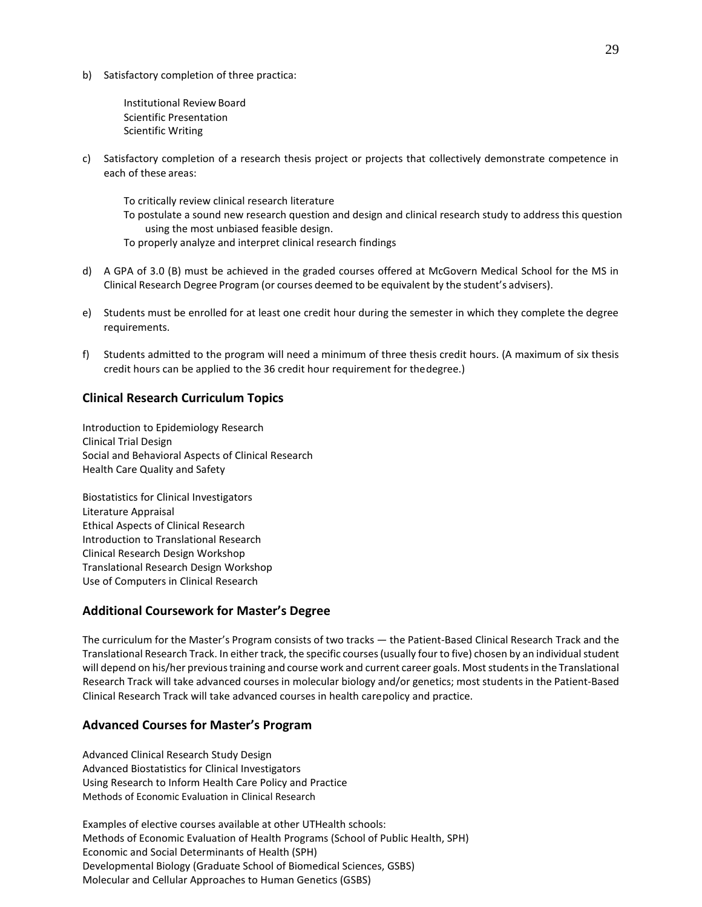b) Satisfactory completion of three practica:

Institutional Review Board Scientific Presentation Scientific Writing

c) Satisfactory completion of a research thesis project or projects that collectively demonstrate competence in each of these areas:

To critically review clinical research literature

- To postulate a sound new research question and design and clinical research study to address this question using the most unbiased feasible design.
- To properly analyze and interpret clinical research findings
- d) A GPA of 3.0 (B) must be achieved in the graded courses offered at McGovern Medical School for the MS in Clinical Research Degree Program (or courses deemed to be equivalent by the student's advisers).
- e) Students must be enrolled for at least one credit hour during the semester in which they complete the degree requirements.
- f) Students admitted to the program will need a minimum of three thesis credit hours. (A maximum of six thesis credit hours can be applied to the 36 credit hour requirement for thedegree.)

## **Clinical Research Curriculum Topics**

Introduction to Epidemiology Research Clinical Trial Design Social and Behavioral Aspects of Clinical Research Health Care Quality and Safety

Biostatistics for Clinical Investigators Literature Appraisal Ethical Aspects of Clinical Research Introduction to Translational Research Clinical Research Design Workshop Translational Research Design Workshop Use of Computers in Clinical Research

## **Additional Coursework for Master's Degree**

The curriculum for the Master's Program consists of two tracks — the Patient-Based Clinical Research Track and the Translational Research Track. In either track, the specific courses (usually four to five) chosen by an individual student will depend on his/her previous training and course work and current career goals. Most students in the Translational Research Track will take advanced courses in molecular biology and/or genetics; most students in the Patient-Based Clinical Research Track will take advanced courses in health carepolicy and practice.

## **Advanced Courses for Master's Program**

Advanced Clinical Research Study Design Advanced Biostatistics for Clinical Investigators Using Research to Inform Health Care Policy and Practice Methods of Economic Evaluation in Clinical Research

Examples of elective courses available at other UTHealth schools: Methods of Economic Evaluation of Health Programs (School of Public Health, SPH) Economic and Social Determinants of Health (SPH) Developmental Biology (Graduate School of Biomedical Sciences, GSBS) Molecular and Cellular Approaches to Human Genetics (GSBS)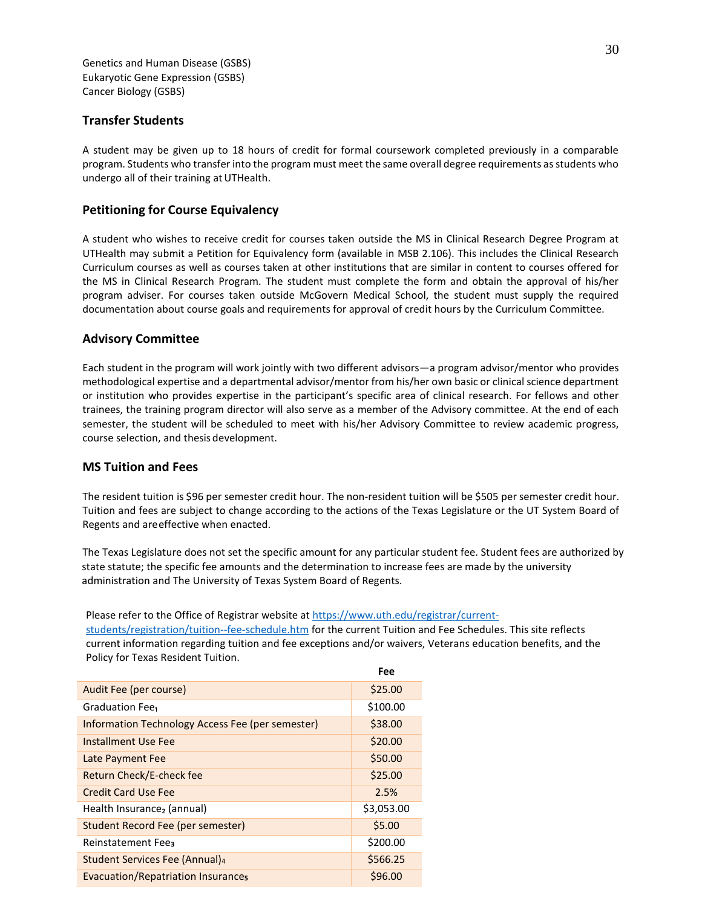Genetics and Human Disease (GSBS) Eukaryotic Gene Expression (GSBS) Cancer Biology (GSBS)

## **Transfer Students**

A student may be given up to 18 hours of credit for formal coursework completed previously in a comparable program. Students who transfer into the program must meet the same overall degree requirements as students who undergo all of their training at UTHealth.

## **Petitioning for Course Equivalency**

A student who wishes to receive credit for courses taken outside the MS in Clinical Research Degree Program at UTHealth may submit a Petition for Equivalency form (available in MSB 2.106). This includes the Clinical Research Curriculum courses as well as courses taken at other institutions that are similar in content to courses offered for the MS in Clinical Research Program. The student must complete the form and obtain the approval of his/her program adviser. For courses taken outside McGovern Medical School, the student must supply the required documentation about course goals and requirements for approval of credit hours by the Curriculum Committee.

## **Advisory Committee**

Each student in the program will work jointly with two different advisors—a program advisor/mentor who provides methodological expertise and a departmental advisor/mentor from his/her own basic or clinical science department or institution who provides expertise in the participant's specific area of clinical research. For fellows and other trainees, the training program director will also serve as a member of the Advisory committee. At the end of each semester, the student will be scheduled to meet with his/her Advisory Committee to review academic progress, course selection, and thesis development.

## **MS Tuition and Fees**

The resident tuition is \$96 per semester credit hour. The non-resident tuition will be \$505 per semester credit hour. Tuition and fees are subject to change according to the actions of the Texas Legislature or the UT System Board of Regents and areeffective when enacted.

The Texas Legislature does not set the specific amount for any particular student fee. Student fees are authorized by state statute; the specific fee amounts and the determination to increase fees are made by the university administration and The University of Texas System Board of Regents.

Please refer to the Office of Registrar website a[t https://www.uth.edu/registrar/current-](https://www.uth.edu/registrar/current-students/registration/tuition--fee-schedule.htm)

[students/registration/tuition--fee-schedule.htm](https://www.uth.edu/registrar/current-students/registration/tuition--fee-schedule.htm) for the current Tuition and Fee Schedules. This site reflects current information regarding tuition and fee exceptions and/or waivers, Veterans education benefits, and the Policy for Texas Resident Tuition.

**Fee**

|                                                  | ree        |
|--------------------------------------------------|------------|
| Audit Fee (per course)                           | \$25.00    |
| Graduation Fee <sub>1</sub>                      | \$100.00   |
| Information Technology Access Fee (per semester) | \$38.00    |
| <b>Installment Use Fee</b>                       | \$20.00    |
| Late Payment Fee                                 | \$50.00    |
| Return Check/E-check fee                         | \$25.00    |
| <b>Credit Card Use Fee</b>                       | 2.5%       |
| Health Insurance, (annual)                       | \$3,053.00 |
| Student Record Fee (per semester)                | \$5.00     |
| <b>Reinstatement Fees</b>                        | \$200.00   |
| Student Services Fee (Annual)4                   | \$566.25   |
| <b>Evacuation/Repatriation Insurances</b>        | \$96.00    |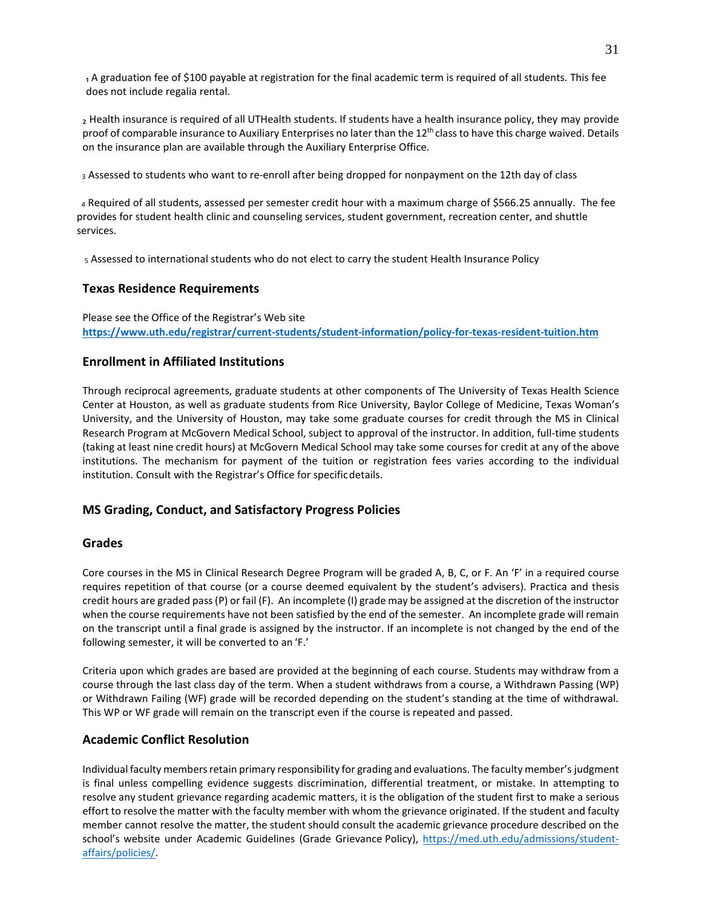1 A graduation fee of \$100 payable at registration for the final academic term is required of all students. This fee does not include regalia rental.

₂ Health insurance is required of all UTHealth students. If students have a health insurance policy, they may provide proof of comparable insurance to Auxiliary Enterprises no later than the  $12<sup>th</sup>$  class to have this charge waived. Details on the insurance plan are available through the Auxiliary Enterprise Office.

3 Assessed to students who want to re-enroll after being dropped for nonpayment on the 12th day of class

<sup>4</sup> Required of all students, assessed per semester credit hour with a maximum charge of \$566.25 annually. The fee provides for student health clinic and counseling services, student government, recreation center, and shuttle services.

5 Assessed to international students who do not elect to carry the student Health Insurance Policy

## **Texas Residence Requirements**

Please see the Office of the Registrar's Web site **<https://www.uth.edu/registrar/current-students/student-information/policy-for-texas-resident-tuition.htm>**

## **Enrollment in Affiliated Institutions**

Through reciprocal agreements, graduate students at other components of The University of Texas Health Science Center at Houston, as well as graduate students from Rice University, Baylor College of Medicine, Texas Woman's University, and the University of Houston, may take some graduate courses for credit through the MS in Clinical Research Program at McGovern Medical School, subject to approval of the instructor. In addition, full-time students (taking at least nine credit hours) at McGovern Medical School may take some courses for credit at any of the above institutions. The mechanism for payment of the tuition or registration fees varies according to the individual institution. Consult with the Registrar's Office for specificdetails.

## **MS Grading, Conduct, and Satisfactory Progress Policies**

## **Grades**

Core courses in the MS in Clinical Research Degree Program will be graded A, B, C, or F. An 'F' in a required course requires repetition of that course (or a course deemed equivalent by the student's advisers). Practica and thesis credit hours are graded pass(P) or fail (F). An incomplete (I) grade may be assigned at the discretion of the instructor when the course requirements have not been satisfied by the end of the semester. An incomplete grade will remain on the transcript until a final grade is assigned by the instructor. If an incomplete is not changed by the end of the following semester, it will be converted to an 'F.'

Criteria upon which grades are based are provided at the beginning of each course. Students may withdraw from a course through the last class day of the term. When a student withdraws from a course, a Withdrawn Passing (WP) or Withdrawn Failing (WF) grade will be recorded depending on the student's standing at the time of withdrawal. This WP or WF grade will remain on the transcript even if the course is repeated and passed.

## **Academic Conflict Resolution**

Individual faculty membersretain primary responsibility for grading and evaluations. The faculty member's judgment is final unless compelling evidence suggests discrimination, differential treatment, or mistake. In attempting to resolve any student grievance regarding academic matters, it is the obligation of the student first to make a serious effort to resolve the matter with the faculty member with whom the grievance originated. If the student and faculty member cannot resolve the matter, the student should consult the academic grievance procedure described on the school's website under Academic Guidelines (Grade Grievance Policy), [https://med.uth.edu/admissions/student](https://med.uth.edu/admissions/student-affairs/policies/)[affairs/policies/.](https://med.uth.edu/admissions/student-affairs/policies/)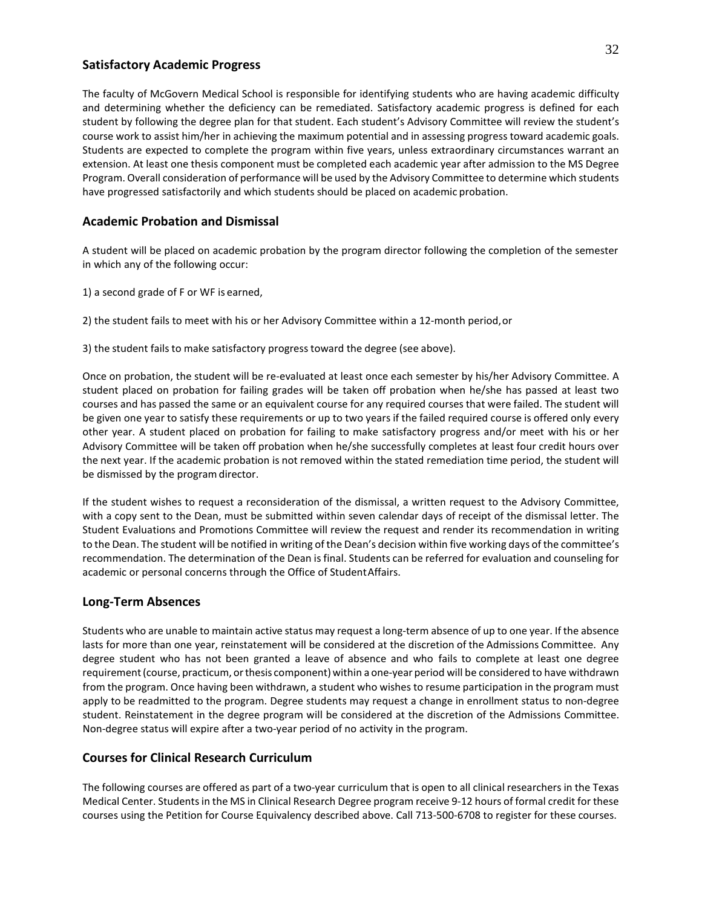## **Satisfactory Academic Progress**

The faculty of McGovern Medical School is responsible for identifying students who are having academic difficulty and determining whether the deficiency can be remediated. Satisfactory academic progress is defined for each student by following the degree plan for that student. Each student's Advisory Committee will review the student's course work to assist him/her in achieving the maximum potential and in assessing progress toward academic goals. Students are expected to complete the program within five years, unless extraordinary circumstances warrant an extension. At least one thesis component must be completed each academic year after admission to the MS Degree Program. Overall consideration of performance will be used by the Advisory Committee to determine which students have progressed satisfactorily and which students should be placed on academic probation.

## **Academic Probation and Dismissal**

A student will be placed on academic probation by the program director following the completion of the semester in which any of the following occur:

- 1) a second grade of F or WF is earned,
- 2) the student fails to meet with his or her Advisory Committee within a 12-month period,or
- 3) the student fails to make satisfactory progress toward the degree (see above).

Once on probation, the student will be re-evaluated at least once each semester by his/her Advisory Committee. A student placed on probation for failing grades will be taken off probation when he/she has passed at least two courses and has passed the same or an equivalent course for any required courses that were failed. The student will be given one year to satisfy these requirements or up to two years if the failed required course is offered only every other year. A student placed on probation for failing to make satisfactory progress and/or meet with his or her Advisory Committee will be taken off probation when he/she successfully completes at least four credit hours over the next year. If the academic probation is not removed within the stated remediation time period, the student will be dismissed by the program director.

If the student wishes to request a reconsideration of the dismissal, a written request to the Advisory Committee, with a copy sent to the Dean, must be submitted within seven calendar days of receipt of the dismissal letter. The Student Evaluations and Promotions Committee will review the request and render its recommendation in writing to the Dean. The student will be notified in writing of the Dean's decision within five working days of the committee's recommendation. The determination of the Dean is final. Students can be referred for evaluation and counseling for academic or personal concerns through the Office of StudentAffairs.

## **Long-Term Absences**

Students who are unable to maintain active status may request a long-term absence of up to one year. If the absence lasts for more than one year, reinstatement will be considered at the discretion of the Admissions Committee. Any degree student who has not been granted a leave of absence and who fails to complete at least one degree requirement(course, practicum, orthesis component) within a one-year period will be considered to have withdrawn from the program. Once having been withdrawn, a student who wishes to resume participation in the program must apply to be readmitted to the program. Degree students may request a change in enrollment status to non-degree student. Reinstatement in the degree program will be considered at the discretion of the Admissions Committee. Non-degree status will expire after a two-year period of no activity in the program.

## **Courses for Clinical Research Curriculum**

The following courses are offered as part of a two-year curriculum that is open to all clinical researchers in the Texas Medical Center. Studentsin the MS in Clinical Research Degree program receive 9-12 hours of formal credit for these courses using the Petition for Course Equivalency described above. Call 713-500-6708 to register for these courses.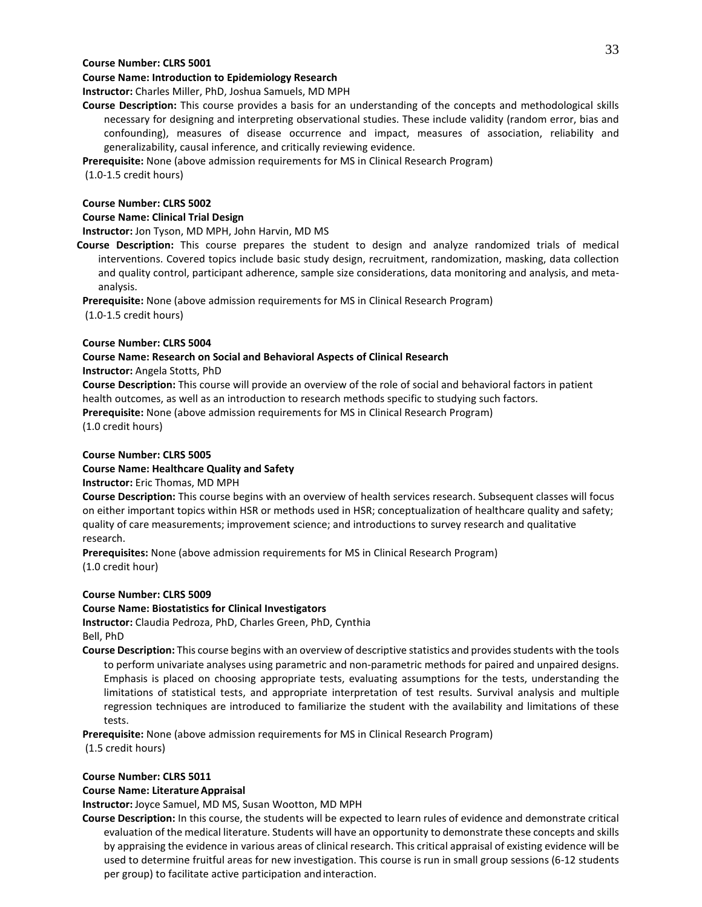#### **Course Number: CLRS 5001**

## **Course Name: Introduction to Epidemiology Research**

**Instructor:** Charles Miller, PhD, Joshua Samuels, MD MPH

**Course Description:** This course provides a basis for an understanding of the concepts and methodological skills necessary for designing and interpreting observational studies. These include validity (random error, bias and confounding), measures of disease occurrence and impact, measures of association, reliability and generalizability, causal inference, and critically reviewing evidence.

**Prerequisite:** None (above admission requirements for MS in Clinical Research Program)

(1.0-1.5 credit hours)

#### **Course Number: CLRS 5002**

#### **Course Name: Clinical Trial Design**

**Instructor:** Jon Tyson, MD MPH, John Harvin, MD MS

**Course Description:** This course prepares the student to design and analyze randomized trials of medical interventions. Covered topics include basic study design, recruitment, randomization, masking, data collection and quality control, participant adherence, sample size considerations, data monitoring and analysis, and metaanalysis.

**Prerequisite:** None (above admission requirements for MS in Clinical Research Program)

(1.0-1.5 credit hours)

## **Course Number: CLRS 5004**

## **Course Name: Research on Social and Behavioral Aspects of Clinical Research**

**Instructor:** Angela Stotts, PhD

**Course Description:** This course will provide an overview of the role of social and behavioral factors in patient health outcomes, as well as an introduction to research methods specific to studying such factors. **Prerequisite:** None (above admission requirements for MS in Clinical Research Program) (1.0 credit hours)

## **Course Number: CLRS 5005**

## **Course Name: Healthcare Quality and Safety**

## **Instructor:** Eric Thomas, MD MPH

**Course Description:** This course begins with an overview of health services research. Subsequent classes will focus on either important topics within HSR or methods used in HSR; conceptualization of healthcare quality and safety; quality of care measurements; improvement science; and introductions to survey research and qualitative research.

**Prerequisites:** None (above admission requirements for MS in Clinical Research Program) (1.0 credit hour)

#### **Course Number: CLRS 5009**

## **Course Name: Biostatistics for Clinical Investigators**

**Instructor:** Claudia Pedroza, PhD, Charles Green, PhD, Cynthia Bell, PhD

**Course Description:** This course begins with an overview of descriptive statistics and provides students with the tools to perform univariate analyses using parametric and non-parametric methods for paired and unpaired designs. Emphasis is placed on choosing appropriate tests, evaluating assumptions for the tests, understanding the limitations of statistical tests, and appropriate interpretation of test results. Survival analysis and multiple regression techniques are introduced to familiarize the student with the availability and limitations of these tests.

**Prerequisite:** None (above admission requirements for MS in Clinical Research Program)

(1.5 credit hours)

## **Course Number: CLRS 5011**

## **Course Name: LiteratureAppraisal**

**Instructor:** Joyce Samuel, MD MS, Susan Wootton, MD MPH

**Course Description:** In this course, the students will be expected to learn rules of evidence and demonstrate critical evaluation of the medical literature. Students will have an opportunity to demonstrate these concepts and skills by appraising the evidence in various areas of clinical research. This critical appraisal of existing evidence will be used to determine fruitful areas for new investigation. This course is run in small group sessions (6-12 students per group) to facilitate active participation andinteraction.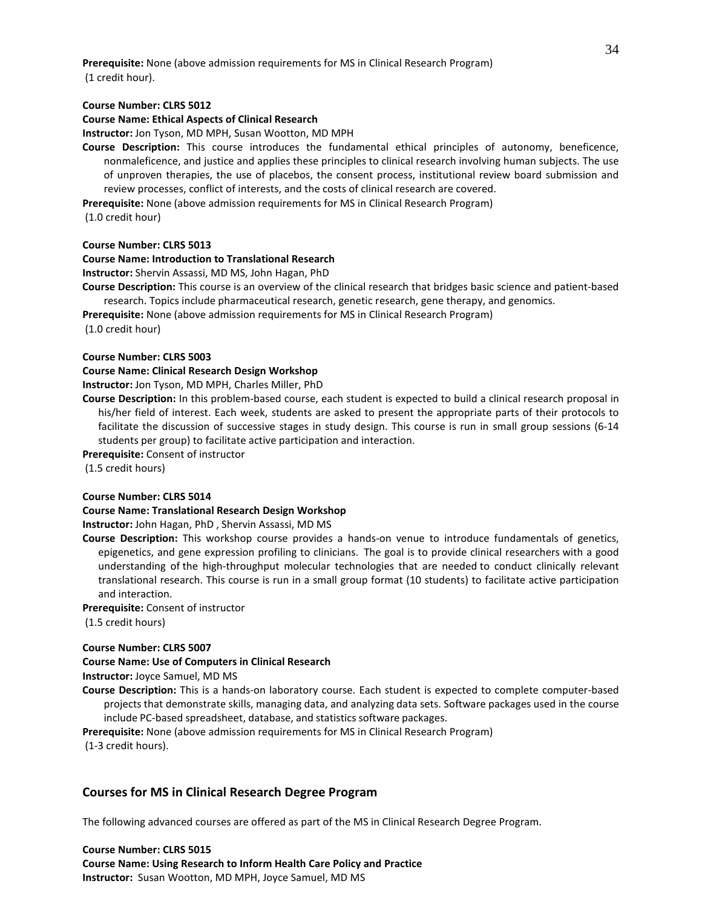**Prerequisite:** None (above admission requirements for MS in Clinical Research Program) (1 credit hour).

#### **Course Number: CLRS 5012**

#### **Course Name: Ethical Aspects of Clinical Research**

**Instructor:** Jon Tyson, MD MPH, Susan Wootton, MD MPH

**Course Description:** This course introduces the fundamental ethical principles of autonomy, beneficence, nonmaleficence, and justice and applies these principles to clinical research involving human subjects. The use of unproven therapies, the use of placebos, the consent process, institutional review board submission and review processes, conflict of interests, and the costs of clinical research are covered.

**Prerequisite:** None (above admission requirements for MS in Clinical Research Program) (1.0 credit hour)

## **Course Number: CLRS 5013**

#### **Course Name: Introduction to Translational Research**

**Instructor:** Shervin Assassi, MD MS, John Hagan, PhD

**Course Description:** This course is an overview of the clinical research that bridges basic science and patient-based research. Topics include pharmaceutical research, genetic research, gene therapy, and genomics.

**Prerequisite:** None (above admission requirements for MS in Clinical Research Program)

(1.0 credit hour)

#### **Course Number: CLRS 5003**

#### **Course Name: Clinical Research Design Workshop**

**Instructor:** Jon Tyson, MD MPH, Charles Miller, PhD

**Course Description:** In this problem-based course, each student is expected to build a clinical research proposal in his/her field of interest. Each week, students are asked to present the appropriate parts of their protocols to facilitate the discussion of successive stages in study design. This course is run in small group sessions (6-14 students per group) to facilitate active participation and interaction.

**Prerequisite:** Consent of instructor

(1.5 credit hours)

#### **Course Number: CLRS 5014**

#### **Course Name: Translational Research Design Workshop**

**Instructor:** John Hagan, PhD , Shervin Assassi, MD MS

**Course Description:** This workshop course provides a hands-on venue to introduce fundamentals of genetics, epigenetics, and gene expression profiling to clinicians. The goal is to provide clinical researchers with a good understanding of the high-throughput molecular technologies that are needed to conduct clinically relevant translational research. This course is run in a small group format (10 students) to facilitate active participation and interaction.

**Prerequisite:** Consent of instructor

(1.5 credit hours)

#### **Course Number: CLRS 5007**

## **Course Name: Use of Computers in Clinical Research**

**Instructor:** Joyce Samuel, MD MS

**Course Description:** This is a hands-on laboratory course. Each student is expected to complete computer-based projects that demonstrate skills, managing data, and analyzing data sets. Software packages used in the course include PC-based spreadsheet, database, and statistics software packages.

**Prerequisite:** None (above admission requirements for MS in Clinical Research Program)

(1-3 credit hours).

## **Courses for MS in Clinical Research Degree Program**

The following advanced courses are offered as part of the MS in Clinical Research Degree Program.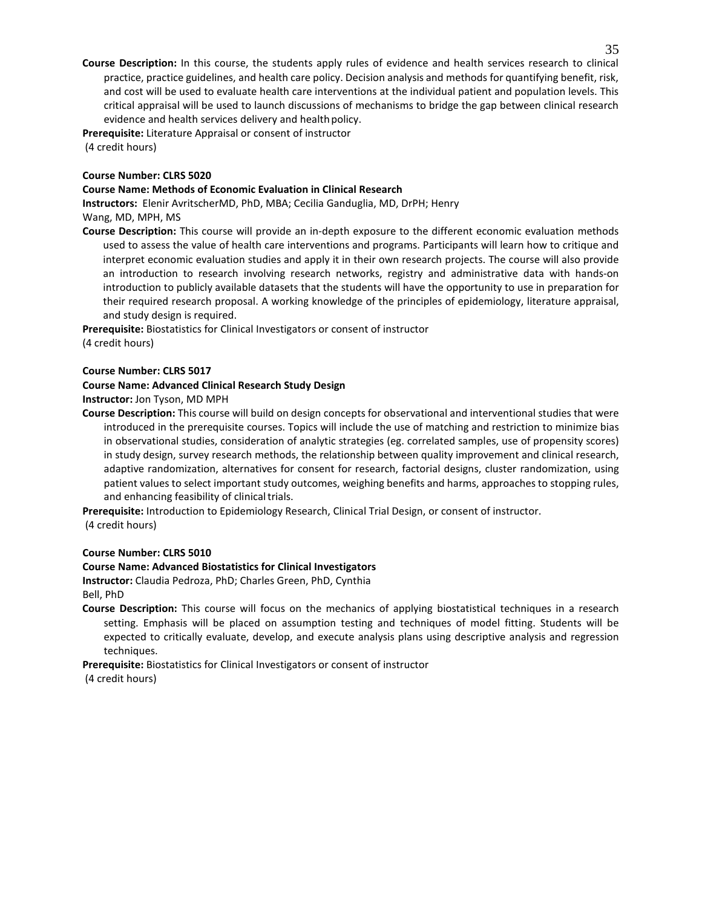**Course Description:** In this course, the students apply rules of evidence and health services research to clinical practice, practice guidelines, and health care policy. Decision analysis and methods for quantifying benefit, risk, and cost will be used to evaluate health care interventions at the individual patient and population levels. This critical appraisal will be used to launch discussions of mechanisms to bridge the gap between clinical research evidence and health services delivery and health policy.

**Prerequisite:** Literature Appraisal or consent of instructor

(4 credit hours)

#### **Course Number: CLRS 5020**

## **Course Name: Methods of Economic Evaluation in Clinical Research**

**Instructors:** Elenir AvritscherMD, PhD, MBA; Cecilia Ganduglia, MD, DrPH; Henry

Wang, MD, MPH, MS

**Course Description:** This course will provide an in-depth exposure to the different economic evaluation methods used to assess the value of health care interventions and programs. Participants will learn how to critique and interpret economic evaluation studies and apply it in their own research projects. The course will also provide an introduction to research involving research networks, registry and administrative data with hands-on introduction to publicly available datasets that the students will have the opportunity to use in preparation for their required research proposal. A working knowledge of the principles of epidemiology, literature appraisal, and study design is required.

**Prerequisite:** Biostatistics for Clinical Investigators or consent of instructor (4 credit hours)

## **Course Number: CLRS 5017**

## **Course Name: Advanced Clinical Research Study Design**

**Instructor:** Jon Tyson, MD MPH

**Course Description:** This course will build on design concepts for observational and interventional studies that were introduced in the prerequisite courses. Topics will include the use of matching and restriction to minimize bias in observational studies, consideration of analytic strategies (eg. correlated samples, use of propensity scores) in study design, survey research methods, the relationship between quality improvement and clinical research, adaptive randomization, alternatives for consent for research, factorial designs, cluster randomization, using patient values to select important study outcomes, weighing benefits and harms, approaches to stopping rules, and enhancing feasibility of clinical trials.

**Prerequisite:** Introduction to Epidemiology Research, Clinical Trial Design, or consent of instructor.

(4 credit hours)

## **Course Number: CLRS 5010**

## **Course Name: Advanced Biostatistics for Clinical Investigators**

**Instructor:** Claudia Pedroza, PhD; Charles Green, PhD, Cynthia

Bell, PhD

**Course Description:** This course will focus on the mechanics of applying biostatistical techniques in a research setting. Emphasis will be placed on assumption testing and techniques of model fitting. Students will be expected to critically evaluate, develop, and execute analysis plans using descriptive analysis and regression techniques.

**Prerequisite:** Biostatistics for Clinical Investigators or consent of instructor

(4 credit hours)